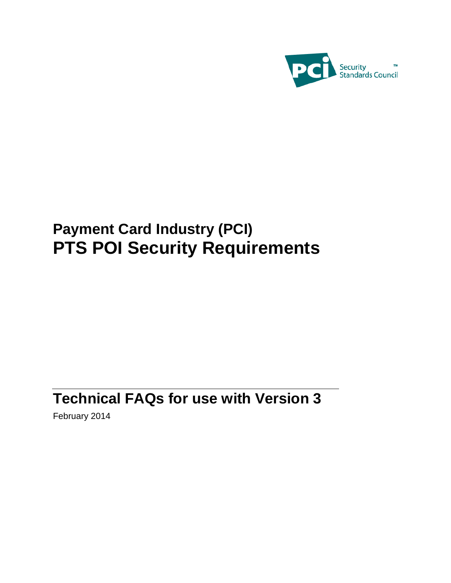

# **Payment Card Industry (PCI) PTS POI Security Requirements**

# **Technical FAQs for use with Version 3**

February 2014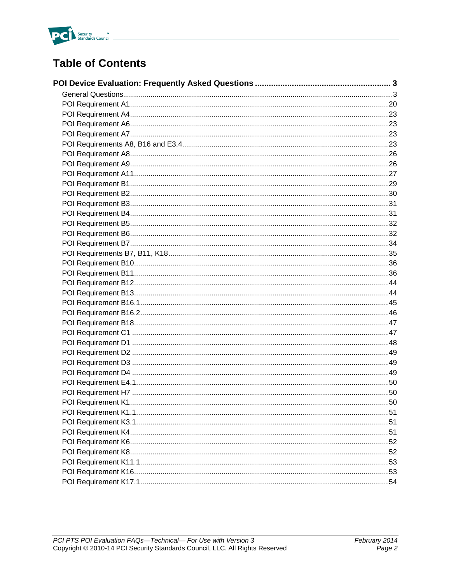

## **Table of Contents**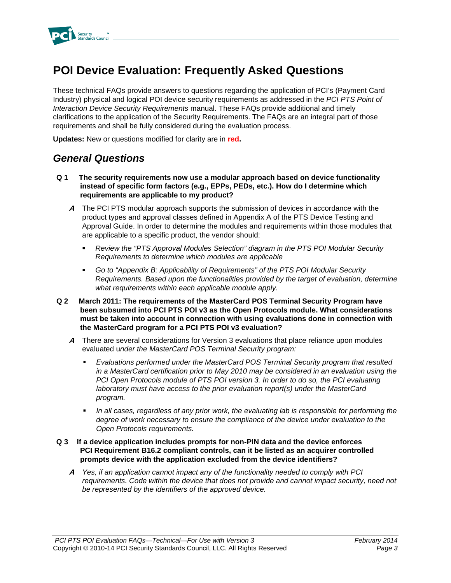

## **POI Device Evaluation: Frequently Asked Questions**

These technical FAQs provide answers to questions regarding the application of PCI's (Payment Card Industry) physical and logical POI device security requirements as addressed in the *PCI PTS Point of Interaction Device Security Requirements* manual. These FAQs provide additional and timely clarifications to the application of the Security Requirements. The FAQs are an integral part of those requirements and shall be fully considered during the evaluation process.

**Updates:** New or questions modified for clarity are in **red.**

### *General Questions*

- **Q 1 The security requirements now use a modular approach based on device functionality instead of specific form factors (e.g., EPPs, PEDs, etc.). How do I determine which requirements are applicable to my product?**
	- **A** The PCI PTS modular approach supports the submission of devices in accordance with the product types and approval classes defined in Appendix A of the PTS Device Testing and Approval Guide. In order to determine the modules and requirements within those modules that are applicable to a specific product, the vendor should:
		- *Review the "PTS Approval Modules Selection" diagram in the PTS POI Modular Security Requirements to determine which modules are applicable*
		- *Go to "Appendix B: Applicability of Requirements" of the PTS POI Modular Security Requirements. Based upon the functionalities provided by the target of evaluation, determine what requirements within each applicable module apply.*
- **Q 2 March 2011: The requirements of the MasterCard POS Terminal Security Program have been subsumed into PCI PTS POI v3 as the Open Protocols module. What considerations must be taken into account in connection with using evaluations done in connection with the MasterCard program for a PCI PTS POI v3 evaluation?**
	- **A** There are several considerations for Version 3 evaluations that place reliance upon modules evaluated u*nder the MasterCard POS Terminal Security program:*
		- *Evaluations performed under the MasterCard POS Terminal Security program that resulted in a MasterCard certification prior to May 2010 may be considered in an evaluation using the PCI Open Protocols module of PTS POI version 3. In order to do so, the PCI evaluating laboratory must have access to the prior evaluation report(s) under the MasterCard program.*
		- *In all cases, regardless of any prior work, the evaluating lab is responsible for performing the degree of work necessary to ensure the compliance of the device under evaluation to the Open Protocols requirements.*

### **Q 3 If a device application includes prompts for non-PIN data and the device enforces PCI Requirement B16.2 compliant controls, can it be listed as an acquirer controlled prompts device with the application excluded from the device identifiers?**

**A** *Yes, if an application cannot impact any of the functionality needed to comply with PCI*  requirements. Code within the device that does not provide and cannot impact security, need not *be represented by the identifiers of the approved device.*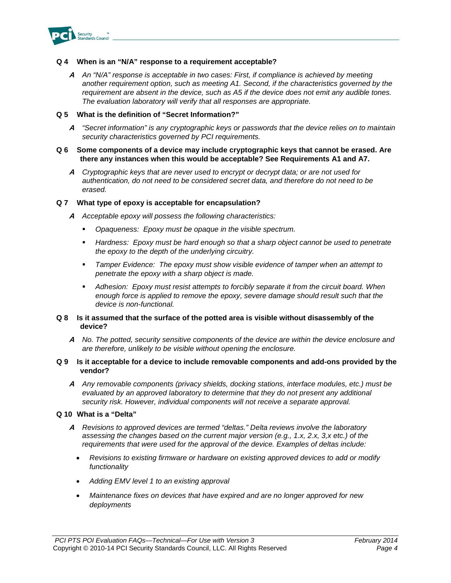

### **Q 4 When is an "N/A" response to a requirement acceptable?**

**A** *An "N/A" response is acceptable in two cases: First, if compliance is achieved by meeting another requirement option, such as meeting A1. Second, if the characteristics governed by the requirement are absent in the device, such as A5 if the device does not emit any audible tones. The evaluation laboratory will verify that all responses are appropriate.*

#### **Q 5 What is the definition of "Secret Information?"**

**A** *"Secret information" is any cryptographic keys or passwords that the device relies on to maintain security characteristics governed by PCI requirements.* 

#### **Q 6 Some components of a device may include cryptographic keys that cannot be erased. Are there any instances when this would be acceptable? See Requirements A1 and A7.**

**A** *Cryptographic keys that are never used to encrypt or decrypt data; or are not used for authentication, do not need to be considered secret data, and therefore do not need to be erased.* 

### **Q 7 What type of epoxy is acceptable for encapsulation?**

- **A** *Acceptable epoxy will possess the following characteristics:* 
	- *Opaqueness: Epoxy must be opaque in the visible spectrum.*
	- **Hardness: Epoxy must be hard enough so that a sharp object cannot be used to penetrate** *the epoxy to the depth of the underlying circuitry.*
	- *Tamper Evidence: The epoxy must show visible evidence of tamper when an attempt to penetrate the epoxy with a sharp object is made.*
	- *Adhesion: Epoxy must resist attempts to forcibly separate it from the circuit board. When enough force is applied to remove the epoxy, severe damage should result such that the device is non-functional.*

### **Q 8 Is it assumed that the surface of the potted area is visible without disassembly of the device?**

**A** *No. The potted, security sensitive components of the device are within the device enclosure and are therefore, unlikely to be visible without opening the enclosure.* 

#### **Q 9 Is it acceptable for a device to include removable components and add-ons provided by the vendor?**

**A** *Any removable components (privacy shields, docking stations, interface modules, etc.) must be evaluated by an approved laboratory to determine that they do not present any additional security risk. However, individual components will not receive a separate approval.* 

#### **Q 10 What is a "Delta"**

- **A** *Revisions to approved devices are termed "deltas." Delta reviews involve the laboratory assessing the changes based on the current major version (e.g., 1.x, 2.x, 3,x etc.) of the requirements that were used for the approval of the device. Examples of deltas include:*
	- *Revisions to existing firmware or hardware on existing approved devices to add or modify functionality*
	- *Adding EMV level 1 to an existing approval*
	- *Maintenance fixes on devices that have expired and are no longer approved for new deployments*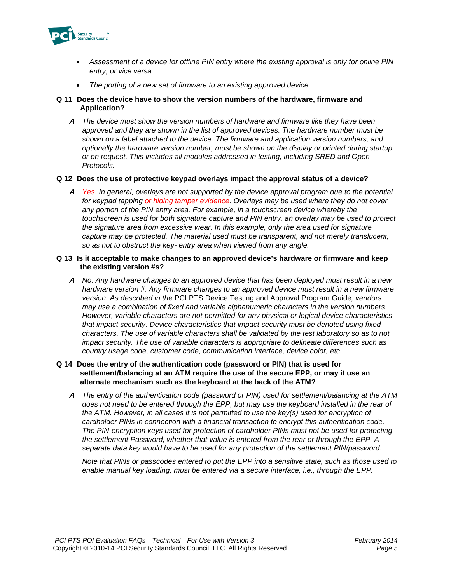

- *Assessment of a device for offline PIN entry where the existing approval is only for online PIN entry, or vice versa*
- *The porting of a new set of firmware to an existing approved device.*

### **Q 11 Does the device have to show the version numbers of the hardware, firmware and Application?**

**A** *The device must show the version numbers of hardware and firmware like they have been approved and they are shown in the list of approved devices. The hardware number must be shown on a label attached to the device. The firmware and application version numbers, and optionally the hardware version number, must be shown on the display or printed during startup or on request. This includes all modules addressed in testing, including SRED and Open Protocols.*

### **Q 12 Does the use of protective keypad overlays impact the approval status of a device?**

**A** *Yes. In general, overlays are not supported by the device approval program due to the potential for keypad tapping or hiding tamper evidence. Overlays may be used where they do not cover any portion of the PIN entry area. For example, in a touchscreen device whereby the touchscreen is used for both signature capture and PIN entry, an overlay may be used to protect the signature area from excessive wear. In this example, only the area used for signature capture may be protected. The material used must be transparent, and not merely translucent, so as not to obstruct the key- entry area when viewed from any angle.*

### **Q 13 Is it acceptable to make changes to an approved device's hardware or firmware and keep the existing version #s?**

**A** *No. Any hardware changes to an approved device that has been deployed must result in a new hardware version #. Any firmware changes to an approved device must result in a new firmware version. As described in the* PCI PTS Device Testing and Approval Program Guide*, vendors may use a combination of fixed and variable alphanumeric characters in the version numbers. However, variable characters are not permitted for any physical or logical device characteristics that impact security. Device characteristics that impact security must be denoted using fixed characters. The use of variable characters shall be validated by the test laboratory so as to not impact security. The use of variable characters is appropriate to delineate differences such as country usage code, customer code, communication interface, device color, etc.*

### **Q 14 Does the entry of the authentication code (password or PIN) that is used for settlement/balancing at an ATM require the use of the secure EPP, or may it use an alternate mechanism such as the keyboard at the back of the ATM?**

**A** *The entry of the authentication code (password or PIN) used for settlement/balancing at the ATM*  does not need to be entered through the EPP, but may use the keyboard installed in the rear of *the ATM. However, in all cases it is not permitted to use the key(s) used for encryption of cardholder PINs in connection with a financial transaction to encrypt this authentication code. The PIN-encryption keys used for protection of cardholder PINs must not be used for protecting the settlement Password, whether that value is entered from the rear or through the EPP. A separate data key would have to be used for any protection of the settlement PIN/password.*

*Note that PINs or passcodes entered to put the EPP into a sensitive state, such as those used to enable manual key loading, must be entered via a secure interface, i.e., through the EPP.*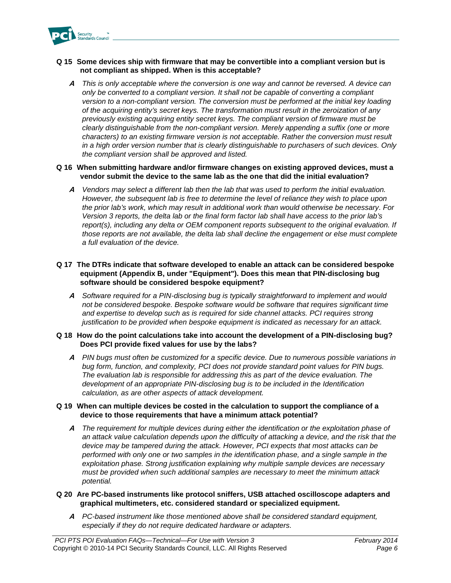

### **Q 15 Some devices ship with firmware that may be convertible into a compliant version but is not compliant as shipped. When is this acceptable?**

**A** *This is only acceptable where the conversion is one way and cannot be reversed. A device can only be converted to a compliant version. It shall not be capable of converting a compliant version to a non-compliant version. The conversion must be performed at the initial key loading of the acquiring entity's secret keys. The transformation must result in the zeroization of any previously existing acquiring entity secret keys. The compliant version of firmware must be clearly distinguishable from the non-compliant version. Merely appending a suffix (one or more characters) to an existing firmware version is not acceptable. Rather the conversion must result in a high order version number that is clearly distinguishable to purchasers of such devices. Only the compliant version shall be approved and listed.*

### **Q 16 When submitting hardware and/or firmware changes on existing approved devices, must a vendor submit the device to the same lab as the one that did the initial evaluation?**

**A** *Vendors may select a different lab then the lab that was used to perform the initial evaluation. However, the subsequent lab is free to determine the level of reliance they wish to place upon the prior lab's work, which may result in additional work than would otherwise be necessary. For Version 3 reports, the delta lab or the final form factor lab shall have access to the prior lab's report(s), including any delta or OEM component reports subsequent to the original evaluation. If those reports are not available, the delta lab shall decline the engagement or else must complete a full evaluation of the device.*

### **Q 17 The DTRs indicate that software developed to enable an attack can be considered bespoke equipment (Appendix B, under "Equipment"). Does this mean that PIN-disclosing bug software should be considered bespoke equipment?**

**A** *Software required for a PIN-disclosing bug is typically straightforward to implement and would not be considered bespoke. Bespoke software would be software that requires significant time and expertise to develop such as is required for side channel attacks. PCI requires strong justification to be provided when bespoke equipment is indicated as necessary for an attack.* 

### **Q 18 How do the point calculations take into account the development of a PIN-disclosing bug? Does PCI provide fixed values for use by the labs?**

**A** *PIN bugs must often be customized for a specific device. Due to numerous possible variations in bug form, function, and complexity, PCI does not provide standard point values for PIN bugs. The evaluation lab is responsible for addressing this as part of the device evaluation. The development of an appropriate PIN-disclosing bug is to be included in the Identification calculation, as are other aspects of attack development.* 

### **Q 19 When can multiple devices be costed in the calculation to support the compliance of a device to those requirements that have a minimum attack potential?**

**A** *The requirement for multiple devices during either the identification or the exploitation phase of an attack value calculation depends upon the difficulty of attacking a device, and the risk that the device may be tampered during the attack. However, PCI expects that most attacks can be performed with only one or two samples in the identification phase, and a single sample in the exploitation phase. Strong justification explaining why multiple sample devices are necessary must be provided when such additional samples are necessary to meet the minimum attack potential.*

### **Q 20 Are PC-based instruments like protocol sniffers, USB attached oscilloscope adapters and graphical multimeters, etc. considered standard or specialized equipment.**

**A** *PC-based instrument like those mentioned above shall be considered standard equipment, especially if they do not require dedicated hardware or adapters.*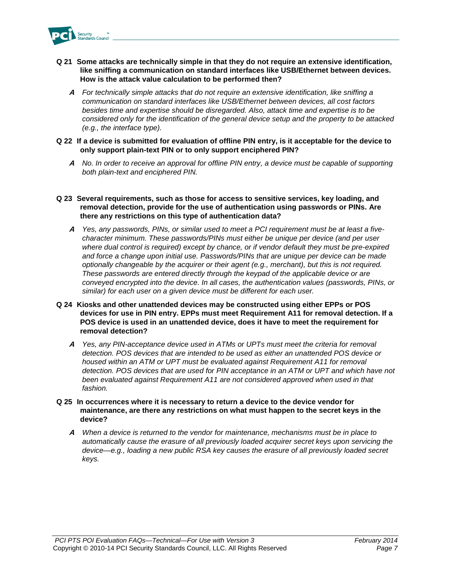

- **Q 21 Some attacks are technically simple in that they do not require an extensive identification, like sniffing a communication on standard interfaces like USB/Ethernet between devices. How is the attack value calculation to be performed then?**
	- **A** *For technically simple attacks that do not require an extensive identification, like sniffing a communication on standard interfaces like USB/Ethernet between devices, all cost factors besides time and expertise should be disregarded. Also, attack time and expertise is to be considered only for the identification of the general device setup and the property to be attacked (e.g., the interface type).*
- **Q 22 If a device is submitted for evaluation of offline PIN entry, is it acceptable for the device to only support plain-text PIN or to only support enciphered PIN?**
	- **A** *No. In order to receive an approval for offline PIN entry, a device must be capable of supporting both plain-text and enciphered PIN.*

#### **Q 23 Several requirements, such as those for access to sensitive services, key loading, and removal detection, provide for the use of authentication using passwords or PINs. Are there any restrictions on this type of authentication data?**

- **A** *Yes, any passwords, PINs, or similar used to meet a PCI requirement must be at least a fivecharacter minimum. These passwords/PINs must either be unique per device (and per user where dual control is required) except by chance, or if vendor default they must be pre-expired and force a change upon initial use. Passwords/PINs that are unique per device can be made optionally changeable by the acquirer or their agent (e.g., merchant), but this is not required. These passwords are entered directly through the keypad of the applicable device or are conveyed encrypted into the device. In all cases, the authentication values (passwords, PINs, or similar) for each user on a given device must be different for each user.*
- **Q 24 Kiosks and other unattended devices may be constructed using either EPPs or POS devices for use in PIN entry. EPPs must meet Requirement A11 for removal detection. If a POS device is used in an unattended device, does it have to meet the requirement for removal detection?**
	- **A** *Yes, any PIN-acceptance device used in ATMs or UPTs must meet the criteria for removal detection. POS devices that are intended to be used as either an unattended POS device or housed within an ATM or UPT must be evaluated against Requirement A11 for removal*  detection. POS devices that are used for PIN acceptance in an ATM or UPT and which have not *been evaluated against Requirement A11 are not considered approved when used in that fashion.*
- **Q 25 In occurrences where it is necessary to return a device to the device vendor for maintenance, are there any restrictions on what must happen to the secret keys in the device?**
	- **A** *When a device is returned to the vendor for maintenance, mechanisms must be in place to automatically cause the erasure of all previously loaded acquirer secret keys upon servicing the device—e.g., loading a new public RSA key causes the erasure of all previously loaded secret keys.*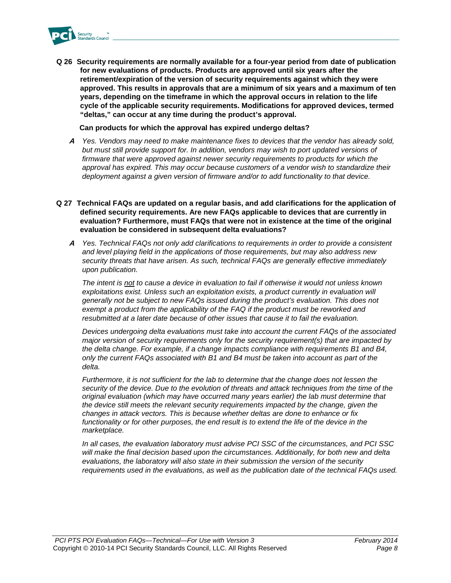

**Q 26 Security requirements are normally available for a four-year period from date of publication for new evaluations of products. Products are approved until six years after the retirement/expiration of the version of security requirements against which they were approved. This results in approvals that are a minimum of six years and a maximum of ten years, depending on the timeframe in which the approval occurs in relation to the life cycle of the applicable security requirements. Modifications for approved devices, termed "deltas," can occur at any time during the product's approval.**

**Can products for which the approval has expired undergo deltas?**

- **A** *Yes. Vendors may need to make maintenance fixes to devices that the vendor has already sold, but must still provide support for. In addition, vendors may wish to port updated versions of firmware that were approved against newer security requirements to products for which the approval has expired. This may occur because customers of a vendor wish to standardize their deployment against a given version of firmware and/or to add functionality to that device.*
- **Q 27 Technical FAQs are updated on a regular basis, and add clarifications for the application of defined security requirements. Are new FAQs applicable to devices that are currently in evaluation? Furthermore, must FAQs that were not in existence at the time of the original evaluation be considered in subsequent delta evaluations?**
	- **A** *Yes. Technical FAQs not only add clarifications to requirements in order to provide a consistent and level playing field in the applications of those requirements, but may also address new security threats that have arisen. As such, technical FAQs are generally effective immediately upon publication.*

*The intent is not to cause a device in evaluation to fail if otherwise it would not unless known exploitations exist. Unless such an exploitation exists, a product currently in evaluation will generally not be subject to new FAQs issued during the product's evaluation. This does not exempt a product from the applicability of the FAQ if the product must be reworked and resubmitted at a later date because of other issues that cause it to fail the evaluation.* 

*Devices undergoing delta evaluations must take into account the current FAQs of the associated major version of security requirements only for the security requirement(s) that are impacted by the delta change. For example, if a change impacts compliance with requirements B1 and B4, only the current FAQs associated with B1 and B4 must be taken into account as part of the delta.*

*Furthermore, it is not sufficient for the lab to determine that the change does not lessen the security of the device. Due to the evolution of threats and attack techniques from the time of the original evaluation (which may have occurred many years earlier) the lab must determine that the device still meets the relevant security requirements impacted by the change, given the changes in attack vectors. This is because whether deltas are done to enhance or fix*  functionality or for other purposes, the end result is to extend the life of the device in the *marketplace.*

*In all cases, the evaluation laboratory must advise PCI SSC of the circumstances, and PCI SSC will make the final decision based upon the circumstances. Additionally, for both new and delta evaluations, the laboratory will also state in their submission the version of the security requirements used in the evaluations, as well as the publication date of the technical FAQs used.*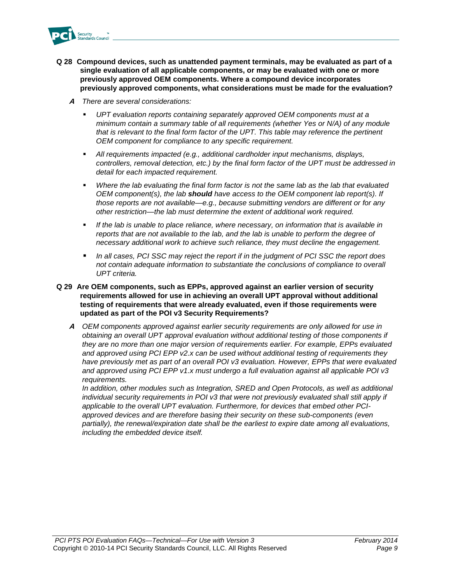

- **Q 28 Compound devices, such as unattended payment terminals, may be evaluated as part of a single evaluation of all applicable components, or may be evaluated with one or more previously approved OEM components. Where a compound device incorporates previously approved components, what considerations must be made for the evaluation?**
	- **A** *There are several considerations:*
		- *UPT evaluation reports containing separately approved OEM components must at a minimum contain a summary table of all requirements (whether Yes or N/A) of any module that is relevant to the final form factor of the UPT. This table may reference the pertinent OEM component for compliance to any specific requirement.*
		- *All requirements impacted (e.g., additional cardholder input mechanisms, displays, controllers, removal detection, etc.) by the final form factor of the UPT must be addressed in detail for each impacted requirement.*
		- *Where the lab evaluating the final form factor is not the same lab as the lab that evaluated OEM component(s), the lab should have access to the OEM component lab report(s). If those reports are not available—e.g., because submitting vendors are different or for any other restriction—the lab must determine the extent of additional work required.*
		- *If the lab is unable to place reliance, where necessary, on information that is available in reports that are not available to the lab, and the lab is unable to perform the degree of necessary additional work to achieve such reliance, they must decline the engagement.*
		- *In all cases, PCI SSC may reject the report if in the judgment of PCI SSC the report does not contain adequate information to substantiate the conclusions of compliance to overall UPT criteria.*

#### **Q 29 Are OEM components, such as EPPs, approved against an earlier version of security requirements allowed for use in achieving an overall UPT approval without additional testing of requirements that were already evaluated, even if those requirements were updated as part of the POI v3 Security Requirements?**

**A** *OEM components approved against earlier security requirements are only allowed for use in obtaining an overall UPT approval evaluation without additional testing of those components if they are no more than one major version of requirements earlier. For example, EPPs evaluated and approved using PCI EPP v2.x can be used without additional testing of requirements they have previously met as part of an overall POI v3 evaluation. However, EPPs that were evaluated and approved using PCI EPP v1.x must undergo a full evaluation against all applicable POI v3 requirements.*

*In addition, other modules such as Integration, SRED and Open Protocols, as well as additional*  individual security requirements in POI v3 that were not previously evaluated shall still apply if *applicable to the overall UPT evaluation. Furthermore, for devices that embed other PCIapproved devices and are therefore basing their security on these sub-components (even partially), the renewal/expiration date shall be the earliest to expire date among all evaluations, including the embedded device itself.*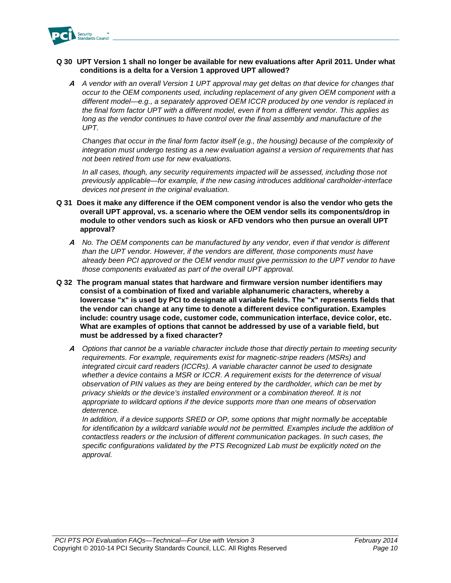

### **Q 30 UPT Version 1 shall no longer be available for new evaluations after April 2011. Under what conditions is a delta for a Version 1 approved UPT allowed?**

**A** *A vendor with an overall Version 1 UPT approval may get deltas on that device for changes that occur to the OEM components used, including replacement of any given OEM component with a different model—e.g., a separately approved OEM ICCR produced by one vendor is replaced in the final form factor UPT with a different model, even if from a different vendor. This applies as*  long as the vendor continues to have control over the final assembly and manufacture of the *UPT.*

*Changes that occur in the final form factor itself (e.g., the housing) because of the complexity of integration must undergo testing as a new evaluation against a version of requirements that has not been retired from use for new evaluations.* 

*In all cases, though, any security requirements impacted will be assessed, including those not previously applicable—for example, if the new casing introduces additional cardholder-interface devices not present in the original evaluation.* 

- **Q 31 Does it make any difference if the OEM component vendor is also the vendor who gets the overall UPT approval, vs. a scenario where the OEM vendor sells its components/drop in module to other vendors such as kiosk or AFD vendors who then pursue an overall UPT approval?**
	- **A** *No. The OEM components can be manufactured by any vendor, even if that vendor is different than the UPT vendor. However, if the vendors are different, those components must have already been PCI approved or the OEM vendor must give permission to the UPT vendor to have those components evaluated as part of the overall UPT approval.*
- **Q 32 The program manual states that hardware and firmware version number identifiers may consist of a combination of fixed and variable alphanumeric characters, whereby a lowercase "x" is used by PCI to designate all variable fields. The "x" represents fields that the vendor can change at any time to denote a different device configuration. Examples include: country usage code, customer code, communication interface, device color, etc. What are examples of options that cannot be addressed by use of a variable field, but must be addressed by a fixed character?**
	- **A** *Options that cannot be a variable character include those that directly pertain to meeting security requirements. For example, requirements exist for magnetic-stripe readers (MSRs) and integrated circuit card readers (ICCRs). A variable character cannot be used to designate whether a device contains a MSR or ICCR. A requirement exists for the deterrence of visual observation of PIN values as they are being entered by the cardholder, which can be met by privacy shields or the device's installed environment or a combination thereof. It is not appropriate to wildcard options if the device supports more than one means of observation deterrence.*

*In addition, if a device supports SRED or OP, some options that might normally be acceptable*  for identification by a wildcard variable would not be permitted. Examples include the addition of *contactless readers or the inclusion of different communication packages. In such cases, the specific configurations validated by the PTS Recognized Lab must be explicitly noted on the approval.*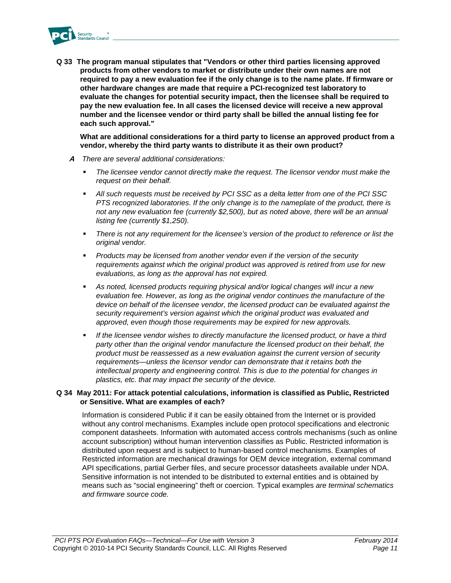

**Q 33 The program manual stipulates that "Vendors or other third parties licensing approved products from other vendors to market or distribute under their own names are not required to pay a new evaluation fee if the only change is to the name plate. If firmware or other hardware changes are made that require a PCI-recognized test laboratory to evaluate the changes for potential security impact, then the licensee shall be required to pay the new evaluation fee. In all cases the licensed device will receive a new approval number and the licensee vendor or third party shall be billed the annual listing fee for each such approval."**

**What are additional considerations for a third party to license an approved product from a vendor, whereby the third party wants to distribute it as their own product?**

- **A** *There are several additional considerations:*
	- *The licensee vendor cannot directly make the request. The licensor vendor must make the request on their behalf.*
	- *All such requests must be received by PCI SSC as a delta letter from one of the PCI SSC PTS recognized laboratories. If the only change is to the nameplate of the product, there is not any new evaluation fee (currently \$2,500), but as noted above, there will be an annual listing fee (currently \$1,250).*
	- *There is not any requirement for the licensee's version of the product to reference or list the original vendor.*
	- *Products may be licensed from another vendor even if the version of the security requirements against which the original product was approved is retired from use for new evaluations, as long as the approval has not expired.*
	- *As noted, licensed products requiring physical and/or logical changes will incur a new evaluation fee. However, as long as the original vendor continues the manufacture of the device on behalf of the licensee vendor, the licensed product can be evaluated against the security requirement's version against which the original product was evaluated and approved, even though those requirements may be expired for new approvals.*
	- *If the licensee vendor wishes to directly manufacture the licensed product, or have a third party other than the original vendor manufacture the licensed product on their behalf, the product must be reassessed as a new evaluation against the current version of security requirements—unless the licensor vendor can demonstrate that it retains both the intellectual property and engineering control. This is due to the potential for changes in plastics, etc. that may impact the security of the device.*

### **Q 34 May 2011: For attack potential calculations, information is classified as Public, Restricted or Sensitive. What are examples of each?**

Information is considered Public if it can be easily obtained from the Internet or is provided without any control mechanisms. Examples include open protocol specifications and electronic component datasheets. Information with automated access controls mechanisms (such as online account subscription) without human intervention classifies as Public. Restricted information is distributed upon request and is subject to human-based control mechanisms. Examples of Restricted information are mechanical drawings for OEM device integration, external command API specifications, partial Gerber files, and secure processor datasheets available under NDA. Sensitive information is not intended to be distributed to external entities and is obtained by means such as "social engineering" theft or coercion. Typical examples *are terminal schematics and firmware source code.*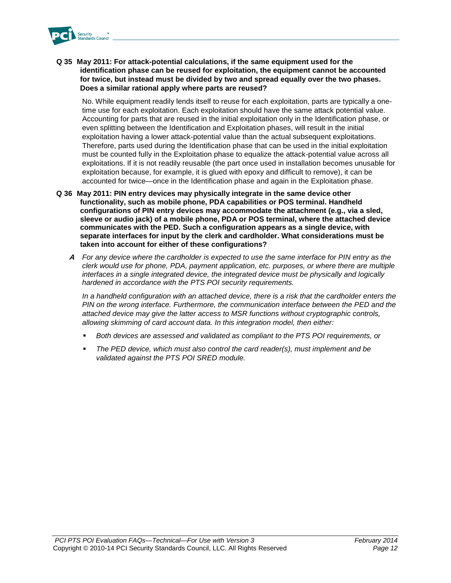

**Q 35 May 2011: For attack-potential calculations, if the same equipment used for the identification phase can be reused for exploitation, the equipment cannot be accounted for twice, but instead must be divided by two and spread equally over the two phases. Does a similar rational apply where parts are reused?**

No. While equipment readily lends itself to reuse for each exploitation, parts are typically a onetime use for each exploitation. Each exploitation should have the same attack potential value. Accounting for parts that are reused in the initial exploitation only in the Identification phase, or even splitting between the Identification and Exploitation phases, will result in the initial exploitation having a lower attack-potential value than the actual subsequent exploitations. Therefore, parts used during the Identification phase that can be used in the initial exploitation must be counted fully in the Exploitation phase to equalize the attack-potential value across all exploitations. If it is not readily reusable (the part once used in installation becomes unusable for exploitation because, for example, it is glued with epoxy and difficult to remove), it can be accounted for twice—once in the Identification phase and again in the Exploitation phase.

- **Q 36 May 2011: PIN entry devices may physically integrate in the same device other functionality, such as mobile phone, PDA capabilities or POS terminal. Handheld configurations of PIN entry devices may accommodate the attachment (e.g., via a sled, sleeve or audio jack) of a mobile phone, PDA or POS terminal, where the attached device communicates with the PED. Such a configuration appears as a single device, with separate interfaces for input by the clerk and cardholder. What considerations must be taken into account for either of these configurations?**
	- **A** *For any device where the cardholder is expected to use the same interface for PIN entry as the clerk would use for phone, PDA, payment application, etc. purposes, or where there are multiple interfaces in a single integrated device, the integrated device must be physically and logically hardened in accordance with the PTS POI security requirements.*

*In a handheld configuration with an attached device, there is a risk that the cardholder enters the PIN on the wrong interface. Furthermore, the communication interface between the PED and the attached device may give the latter access to MSR functions without cryptographic controls, allowing skimming of card account data. In this integration model, then either:*

- *Both devices are assessed and validated as compliant to the PTS POI requirements, or*
- *The PED device, which must also control the card reader(s), must implement and be validated against the PTS POI SRED module.*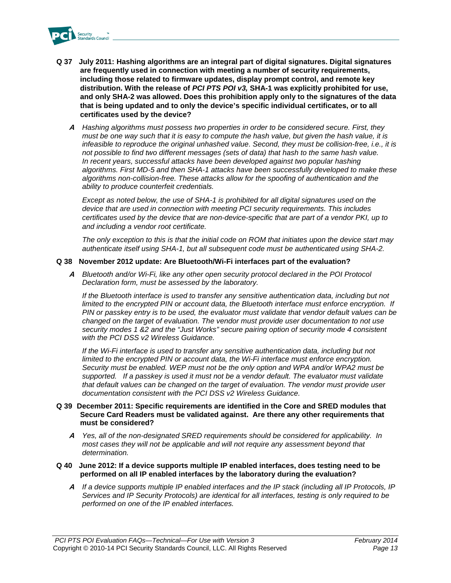

- **Q 37 July 2011: Hashing algorithms are an integral part of digital signatures. Digital signatures are frequently used in connection with meeting a number of security requirements, including those related to firmware updates, display prompt control, and remote key distribution. With the release of** *PCI PTS POI v3,* **SHA-1 was explicitly prohibited for use, and only SHA-2 was allowed. Does this prohibition apply only to the signatures of the data that is being updated and to only the device's specific individual certificates, or to all certificates used by the device?** 
	- **A** *Hashing algorithms must possess two properties in order to be considered secure. First, they must be one way such that it is easy to compute the hash value, but given the hash value, it is infeasible to reproduce the original unhashed value. Second, they must be collision-free, i.e., it is not possible to find two different messages (sets of data) that hash to the same hash value. In recent years, successful attacks have been developed against two popular hashing algorithms. First MD-5 and then SHA-1 attacks have been successfully developed to make these algorithms non-collision-free. These attacks allow for the spoofing of authentication and the ability to produce counterfeit credentials.*

*Except as noted below, the use of SHA-1 is prohibited for all digital signatures used on the device that are used in connection with meeting PCI security requirements. This includes certificates used by the device that are non-device-specific that are part of a vendor PKI, up to and including a vendor root certificate.*

*The only exception to this is that the initial code on ROM that initiates upon the device start may authenticate itself using SHA-1, but all subsequent code must be authenticated using SHA-2.*

### **Q 38 November 2012 update: Are Bluetooth/Wi-Fi interfaces part of the evaluation?**

**A** *Bluetooth and/or Wi-Fi, like any other open security protocol declared in the POI Protocol Declaration form, must be assessed by the laboratory.*

*If the Bluetooth interface is used to transfer any sensitive authentication data, including but not limited to the encrypted PIN or account data, the Bluetooth interface must enforce encryption. If PIN or passkey entry is to be used, the evaluator must validate that vendor default values can be changed on the target of evaluation. The vendor must provide user documentation to not use security modes 1 &2 and the "Just Works" secure pairing option of security mode 4 consistent with the PCI DSS v2 Wireless Guidance.*

*If the Wi-Fi interface is used to transfer any sensitive authentication data, including but not limited to the encrypted PIN or account data, the Wi-Fi interface must enforce encryption. Security must be enabled. WEP must not be the only option and WPA and/or WPA2 must be supported. If a passkey is used it must not be a vendor default. The evaluator must validate that default values can be changed on the target of evaluation. The vendor must provide user documentation consistent with the PCI DSS v2 Wireless Guidance.*

#### **Q 39 December 2011: Specific requirements are identified in the Core and SRED modules that Secure Card Readers must be validated against. Are there any other requirements that must be considered?**

**A** *Yes, all of the non-designated SRED requirements should be considered for applicability. In most cases they will not be applicable and will not require any assessment beyond that determination.*

#### **Q 40 June 2012: If a device supports multiple IP enabled interfaces, does testing need to be performed on all IP enabled interfaces by the laboratory during the evaluation?**

**A** *If a device supports multiple IP enabled interfaces and the IP stack (including all IP Protocols, IP Services and IP Security Protocols) are identical for all interfaces, testing is only required to be performed on one of the IP enabled interfaces.*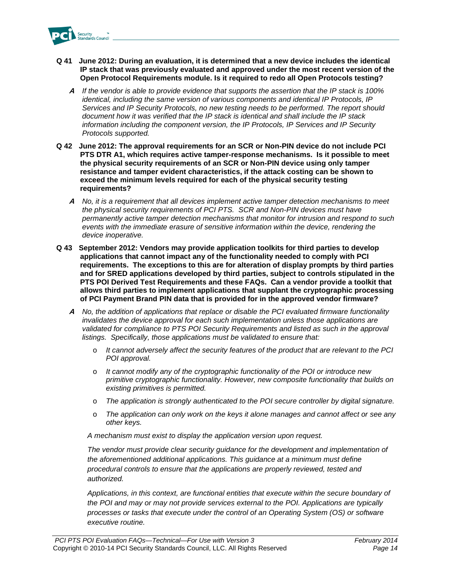

- **Q 41 June 2012: During an evaluation, it is determined that a new device includes the identical IP stack that was previously evaluated and approved under the most recent version of the Open Protocol Requirements module. Is it required to redo all Open Protocols testing?**
	- **A** *If the vendor is able to provide evidence that supports the assertion that the IP stack is 100% identical, including the same version of various components and identical IP Protocols, IP Services and IP Security Protocols, no new testing needs to be performed. The report should document how it was verified that the IP stack is identical and shall include the IP stack information including the component version, the IP Protocols, IP Services and IP Security Protocols supported.*
- **Q 42 June 2012: The approval requirements for an SCR or Non-PIN device do not include PCI PTS DTR A1, which requires active tamper-response mechanisms. Is it possible to meet the physical security requirements of an SCR or Non-PIN device using only tamper resistance and tamper evident characteristics, if the attack costing can be shown to exceed the minimum levels required for each of the physical security testing requirements?**
	- **A** *No, it is a requirement that all devices implement active tamper detection mechanisms to meet the physical security requirements of PCI PTS. SCR and Non-PIN devices must have permanently active tamper detection mechanisms that monitor for intrusion and respond to such events with the immediate erasure of sensitive information within the device, rendering the device inoperative.*
- **Q 43 September 2012: Vendors may provide application toolkits for third parties to develop applications that cannot impact any of the functionality needed to comply with PCI requirements. The exceptions to this are for alteration of display prompts by third parties and for SRED applications developed by third parties, subject to controls stipulated in the PTS POI Derived Test Requirements and these FAQs. Can a vendor provide a toolkit that allows third parties to implement applications that supplant the cryptographic processing of PCI Payment Brand PIN data that is provided for in the approved vendor firmware?**
	- **A** *No, the addition of applications that replace or disable the PCI evaluated firmware functionality invalidates the device approval for each such implementation unless those applications are validated for compliance to PTS POI Security Requirements and listed as such in the approval listings. Specifically, those applications must be validated to ensure that:*
		- o *It cannot adversely affect the security features of the product that are relevant to the PCI POI approval.*
		- o *It cannot modify any of the cryptographic functionality of the POI or introduce new primitive cryptographic functionality. However, new composite functionality that builds on existing primitives is permitted.*
		- o *The application is strongly authenticated to the POI secure controller by digital signature.*
		- o *The application can only work on the keys it alone manages and cannot affect or see any other keys.*

*A mechanism must exist to display the application version upon request.*

The vendor must provide clear security guidance for the development and implementation of *the aforementioned additional applications. This guidance at a minimum must define procedural controls to ensure that the applications are properly reviewed, tested and authorized.*

*Applications, in this context, are functional entities that execute within the secure boundary of the POI and may or may not provide services external to the POI. Applications are typically processes or tasks that execute under the control of an Operating System (OS) or software executive routine.*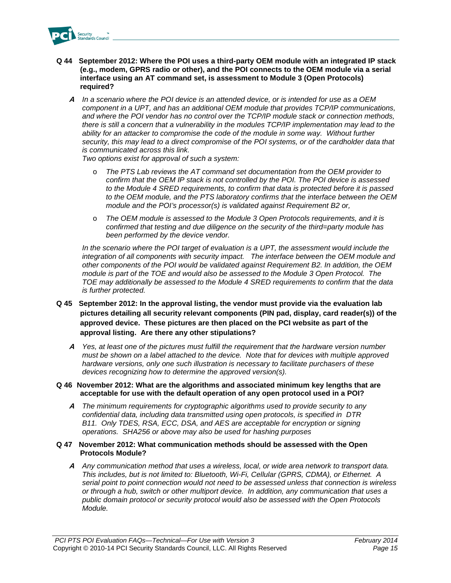

- **Q 44 September 2012: Where the POI uses a third-party OEM module with an integrated IP stack (e.g., modem, GPRS radio or other), and the POI connects to the OEM module via a serial interface using an AT command set, is assessment to Module 3 (Open Protocols) required?**
	- **A** *In a scenario where the POI device is an attended device, or is intended for use as a OEM component in a UPT, and has an additional OEM module that provides TCP/IP communications, and where the POI vendor has no control over the TCP/IP module stack or connection methods, there is still a concern that a vulnerability in the modules TCP/IP implementation may lead to the*  ability for an attacker to compromise the code of the module in some way. Without further security, this may lead to a direct compromise of the POI systems, or of the cardholder data that *is communicated across this link.*

*Two options exist for approval of such a system:*

- o *The PTS Lab reviews the AT command set documentation from the OEM provider to confirm that the OEM IP stack is not controlled by the POI. The POI device is assessed to the Module 4 SRED requirements, to confirm that data is protected before it is passed to the OEM module, and the PTS laboratory confirms that the interface between the OEM module and the POI's processor(s) is validated against Requirement B2 or,*
- o *The OEM module is assessed to the Module 3 Open Protocols requirements, and it is confirmed that testing and due diligence on the security of the third=party module has been performed by the device vendor.*

*In the scenario where the POI target of evaluation is a UPT, the assessment would include the integration of all components with security impact. The interface between the OEM module and other components of the POI would be validated against Requirement B2. In addition, the OEM module is part of the TOE and would also be assessed to the Module 3 Open Protocol. The TOE may additionally be assessed to the Module 4 SRED requirements to confirm that the data is further protected.*

- **Q 45 September 2012: In the approval listing, the vendor must provide via the evaluation lab pictures detailing all security relevant components (PIN pad, display, card reader(s)) of the approved device. These pictures are then placed on the PCI website as part of the approval listing. Are there any other stipulations?**
	- **A** *Yes, at least one of the pictures must fulfill the requirement that the hardware version number must be shown on a label attached to the device. Note that for devices with multiple approved hardware versions, only one such illustration is necessary to facilitate purchasers of these devices recognizing how to determine the approved version(s).*
- **Q 46 November 2012: What are the algorithms and associated minimum key lengths that are acceptable for use with the default operation of any open protocol used in a POI?**
	- **A** *The minimum requirements for cryptographic algorithms used to provide security to any confidential data, including data transmitted using open protocols, is specified in DTR B11. Only TDES, RSA, ECC, DSA, and AES are acceptable for encryption or signing operations. SHA256 or above may also be used for hashing purposes*

#### **Q 47 November 2012: What communication methods should be assessed with the Open Protocols Module?**

**A** *Any communication method that uses a wireless, local, or wide area network to transport data. This includes, but is not limited to: Bluetooth, Wi-Fi, Cellular (GPRS, CDMA), or Ethernet. A serial point to point connection would not need to be assessed unless that connection is wireless or through a hub, switch or other multiport device. In addition, any communication that uses a public domain protocol or security protocol would also be assessed with the Open Protocols Module.*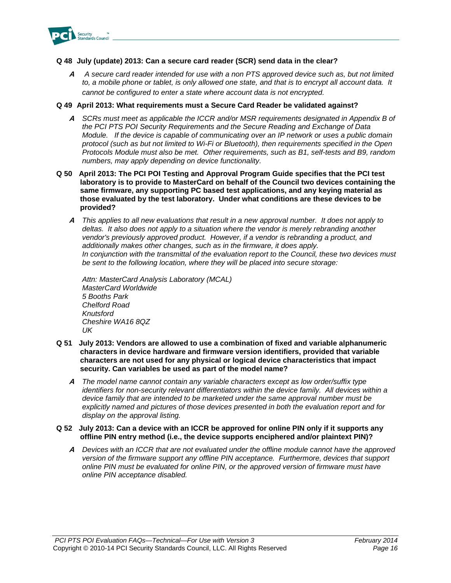

### **Q 48 July (update) 2013: Can a secure card reader (SCR) send data in the clear?**

**A** *A secure card reader intended for use with a non PTS approved device such as, but not limited to, a mobile phone or tablet, is only allowed one state, and that is to encrypt all account data. It cannot be configured to enter a state where account data is not encrypted.*

### **Q 49 April 2013: What requirements must a Secure Card Reader be validated against?**

- **A** *SCRs must meet as applicable the ICCR and/or MSR requirements designated in Appendix B of the PCI PTS POI Security Requirements and the Secure Reading and Exchange of Data Module. If the device is capable of communicating over an IP network or uses a public domain protocol (such as but not limited to Wi-Fi or Bluetooth), then requirements specified in the Open Protocols Module must also be met. Other requirements, such as B1, self-tests and B9, random numbers, may apply depending on device functionality.*
- **Q 50 April 2013: The PCI POI Testing and Approval Program Guide specifies that the PCI test laboratory is to provide to MasterCard on behalf of the Council two devices containing the same firmware, any supporting PC based test applications, and any keying material as those evaluated by the test laboratory. Under what conditions are these devices to be provided?**
	- **A** *This applies to all new evaluations that result in a new approval number. It does not apply to deltas. It also does not apply to a situation where the vendor is merely rebranding another vendor's previously approved product. However, if a vendor is rebranding a product, and additionally makes other changes, such as in the firmware, it does apply. In conjunction with the transmittal of the evaluation report to the Council, these two devices must be sent to the following location, where they will be placed into secure storage:*

*Attn: MasterCard Analysis Laboratory (MCAL) MasterCard Worldwide 5 Booths Park Chelford Road Knutsford Cheshire WA16 8QZ UK*

- **Q 51 July 2013: Vendors are allowed to use a combination of fixed and variable alphanumeric characters in device hardware and firmware version identifiers, provided that variable characters are not used for any physical or logical device characteristics that impact security. Can variables be used as part of the model name?**
	- **A** *The model name cannot contain any variable characters except as low order/suffix type identifiers for non-security relevant differentiators within the device family. All devices within a device family that are intended to be marketed under the same approval number must be explicitly named and pictures of those devices presented in both the evaluation report and for display on the approval listing.*
- **Q 52 July 2013: Can a device with an ICCR be approved for online PIN only if it supports any offline PIN entry method (i.e., the device supports enciphered and/or plaintext PIN)?**
	- **A** *Devices with an ICCR that are not evaluated under the offline module cannot have the approved version of the firmware support any offline PIN acceptance. Furthermore, devices that support online PIN must be evaluated for online PIN, or the approved version of firmware must have online PIN acceptance disabled.*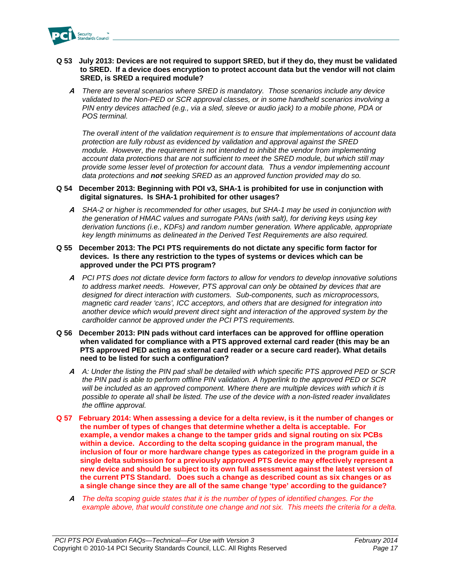

#### **Q 53 July 2013: Devices are not required to support SRED, but if they do, they must be validated to SRED. If a device does encryption to protect account data but the vendor will not claim SRED, is SRED a required module?**

**A** *There are several scenarios where SRED is mandatory. Those scenarios include any device validated to the Non-PED or SCR approval classes, or in some handheld scenarios involving a PIN entry devices attached (e.g., via a sled, sleeve or audio jack) to a mobile phone, PDA or POS terminal.*

*The overall intent of the validation requirement is to ensure that implementations of account data protection are fully robust as evidenced by validation and approval against the SRED module. However, the requirement is not intended to inhibit the vendor from implementing account data protections that are not sufficient to meet the SRED module, but which still may provide some lesser level of protection for account data. Thus a vendor implementing account data protections and not seeking SRED as an approved function provided may do so.* 

#### **Q 54 December 2013: Beginning with POI v3, SHA-1 is prohibited for use in conjunction with digital signatures. Is SHA-1 prohibited for other usages?**

**A** *SHA-2 or higher is recommended for other usages, but SHA-1 may be used in conjunction with the generation of HMAC values and surrogate PANs (with salt), for deriving keys using key derivation functions (i.e., KDFs) and random number generation. Where applicable, appropriate key length minimums as delineated in the Derived Test Requirements are also required.*

#### **Q 55 December 2013: The PCI PTS requirements do not dictate any specific form factor for devices. Is there any restriction to the types of systems or devices which can be approved under the PCI PTS program?**

**A** *PCI PTS does not dictate device form factors to allow for vendors to develop innovative solutions to address market needs. However, PTS approval can only be obtained by devices that are designed for direct interaction with customers. Sub-components, such as microprocessors, magnetic card reader 'cans', ICC acceptors, and others that are designed for integration into another device which would prevent direct sight and interaction of the approved system by the cardholder cannot be approved under the PCI PTS requirements.*

#### **Q 56 December 2013: PIN pads without card interfaces can be approved for offline operation when validated for compliance with a PTS approved external card reader (this may be an PTS approved PED acting as external card reader or a secure card reader). What details need to be listed for such a configuration?**

- **A** *A: Under the listing the PIN pad shall be detailed with which specific PTS approved PED or SCR the PIN pad is able to perform offline PIN validation. A hyperlink to the approved PED or SCR will be included as an approved component. Where there are multiple devices with which it is possible to operate all shall be listed. The use of the device with a non-listed reader invalidates the offline approval.*
- **Q 57 February 2014: When assessing a device for a delta review, is it the number of changes or the number of types of changes that determine whether a delta is acceptable. For example, a vendor makes a change to the tamper grids and signal routing on six PCBs within a device. According to the delta scoping guidance in the program manual, the inclusion of four or more hardware change types as categorized in the program guide in a single delta submission for a previously approved PTS device may effectively represent a new device and should be subject to its own full assessment against the latest version of the current PTS Standard. Does such a change as described count as six changes or as a single change since they are all of the same change 'type' according to the guidance?**
	- **A** *The delta scoping guide states that it is the number of types of identified changes. For the example above, that would constitute one change and not six. This meets the criteria for a delta.*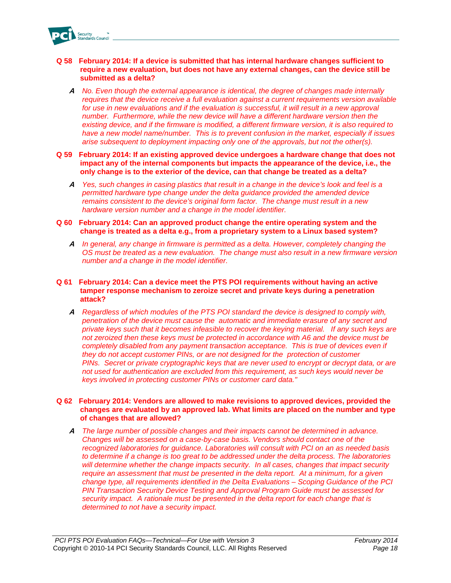

#### **Q 58 February 2014: If a device is submitted that has internal hardware changes sufficient to require a new evaluation, but does not have any external changes, can the device still be submitted as a delta?**

- **A** *No. Even though the external appearance is identical, the degree of changes made internally requires that the device receive a full evaluation against a current requirements version available*  for use in new evaluations and if the evaluation is successful, it will result in a new approval *number. Furthermore, while the new device will have a different hardware version then the existing device, and if the firmware is modified, a different firmware version, it is also required to have a new model name/number. This is to prevent confusion in the market, especially if issues arise subsequent to deployment impacting only one of the approvals, but not the other(s).*
- **Q 59 February 2014: If an existing approved device undergoes a hardware change that does not impact any of the internal components but impacts the appearance of the device, i.e., the only change is to the exterior of the device, can that change be treated as a delta?**
	- **A** *Yes, such changes in casing plastics that result in a change in the device's look and feel is a permitted hardware type change under the delta guidance provided the amended device remains consistent to the device's original form factor. The change must result in a new hardware version number and a change in the model identifier.*

#### **Q 60 February 2014: Can an approved product change the entire operating system and the change is treated as a delta e.g., from a proprietary system to a Linux based system?**

**A** *In general, any change in firmware is permitted as a delta. However, completely changing the OS must be treated as a new evaluation. The change must also result in a new firmware version number and a change in the model identifier.*

#### **Q 61 February 2014: Can a device meet the PTS POI requirements without having an active tamper response mechanism to zeroize secret and private keys during a penetration attack?**

**A** *Regardless of which modules of the PTS POI standard the device is designed to comply with, penetration of the device must cause the automatic and immediate erasure of any secret and private keys such that it becomes infeasible to recover the keying material. If any such keys are not zeroized then these keys must be protected in accordance with A6 and the device must be completely disabled from any payment transaction acceptance. This is true of devices even if they do not accept customer PINs, or are not designed for the protection of customer PINs. Secret or private cryptographic keys that are never used to encrypt or decrypt data, or are not used for authentication are excluded from this requirement, as such keys would never be keys involved in protecting customer PINs or customer card data."*

#### **Q 62 February 2014: Vendors are allowed to make revisions to approved devices, provided the changes are evaluated by an approved lab. What limits are placed on the number and type of changes that are allowed?**

**A** *The large number of possible changes and their impacts cannot be determined in advance. Changes will be assessed on a case-by-case basis. Vendors should contact one of the recognized laboratories for guidance. Laboratories will consult with PCI on an as needed basis to determine if a change is too great to be addressed under the delta process. The laboratories will determine whether the change impacts security. In all cases, changes that impact security require an assessment that must be presented in the delta report. At a minimum, for a given change type, all requirements identified in the Delta Evaluations – Scoping Guidance of the PCI PIN Transaction Security Device Testing and Approval Program Guide must be assessed for security impact. A rationale must be presented in the delta report for each change that is determined to not have a security impact.*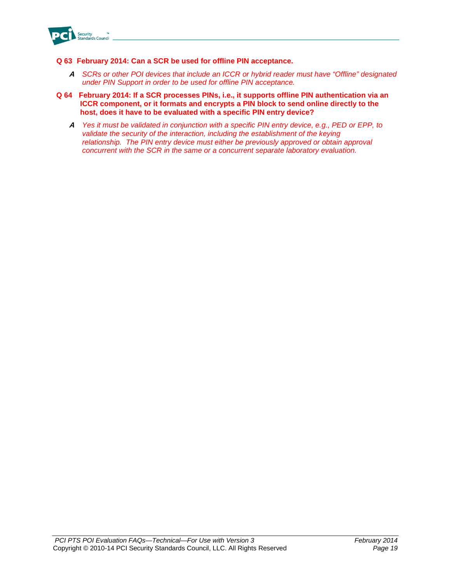

### **Q 63 February 2014: Can a SCR be used for offline PIN acceptance.**

- **A** *SCRs or other POI devices that include an ICCR or hybrid reader must have "Offline" designated under PIN Support in order to be used for offline PIN acceptance.*
- **Q 64 February 2014: If a SCR processes PINs, i.e., it supports offline PIN authentication via an ICCR component, or it formats and encrypts a PIN block to send online directly to the host, does it have to be evaluated with a specific PIN entry device?**
	- **A** *Yes it must be validated in conjunction with a specific PIN entry device, e.g., PED or EPP, to validate the security of the interaction, including the establishment of the keying relationship. The PIN entry device must either be previously approved or obtain approval concurrent with the SCR in the same or a concurrent separate laboratory evaluation.*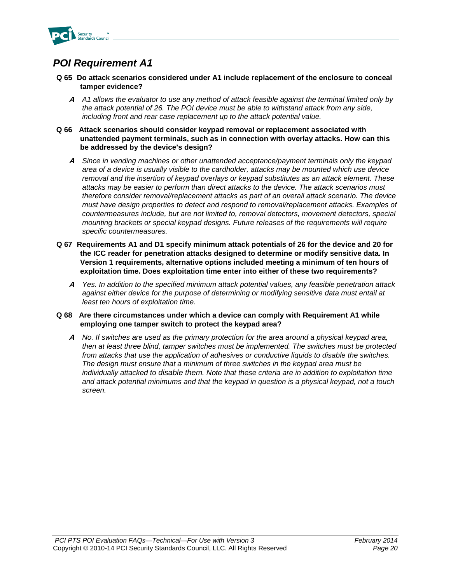

### *POI Requirement A1*

- **Q 65 Do attack scenarios considered under A1 include replacement of the enclosure to conceal tamper evidence?**
	- **A** *A1 allows the evaluator to use any method of attack feasible against the terminal limited only by the attack potential of 26. The POI device must be able to withstand attack from any side, including front and rear case replacement up to the attack potential value.*
- **Q 66 Attack scenarios should consider keypad removal or replacement associated with unattended payment terminals, such as in connection with overlay attacks. How can this be addressed by the device's design?**
	- **A** *Since in vending machines or other unattended acceptance/payment terminals only the keypad area of a device is usually visible to the cardholder, attacks may be mounted which use device removal and the insertion of keypad overlays or keypad substitutes as an attack element. These attacks may be easier to perform than direct attacks to the device. The attack scenarios must therefore consider removal/replacement attacks as part of an overall attack scenario. The device must have design properties to detect and respond to removal/replacement attacks. Examples of countermeasures include, but are not limited to, removal detectors, movement detectors, special mounting brackets or special keypad designs. Future releases of the requirements will require specific countermeasures.*
- **Q 67 Requirements A1 and D1 specify minimum attack potentials of 26 for the device and 20 for the ICC reader for penetration attacks designed to determine or modify sensitive data. In Version 1 requirements, alternative options included meeting a minimum of ten hours of exploitation time. Does exploitation time enter into either of these two requirements?**
	- **A** *Yes. In addition to the specified minimum attack potential values, any feasible penetration attack against either device for the purpose of determining or modifying sensitive data must entail at least ten hours of exploitation time.*
- **Q 68 Are there circumstances under which a device can comply with Requirement A1 while employing one tamper switch to protect the keypad area?** 
	- **A** *No. If switches are used as the primary protection for the area around a physical keypad area, then at least three blind, tamper switches must be implemented. The switches must be protected from attacks that use the application of adhesives or conductive liquids to disable the switches. The design must ensure that a minimum of three switches in the keypad area must be individually attacked to disable them. Note that these criteria are in addition to exploitation time and attack potential minimums and that the keypad in question is a physical keypad, not a touch screen.*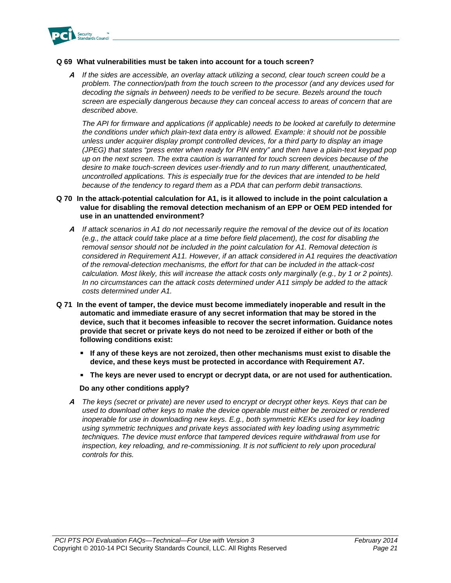

### **Q 69 What vulnerabilities must be taken into account for a touch screen?**

**A** *If the sides are accessible, an overlay attack utilizing a second, clear touch screen could be a problem. The connection/path from the touch screen to the processor (and any devices used for decoding the signals in between) needs to be verified to be secure. Bezels around the touch screen are especially dangerous because they can conceal access to areas of concern that are described above.* 

*The API for firmware and applications (if applicable) needs to be looked at carefully to determine the conditions under which plain-text data entry is allowed. Example: it should not be possible unless under acquirer display prompt controlled devices, for a third party to display an image (JPEG) that states "press enter when ready for PIN entry" and then have a plain-text keypad pop up on the next screen. The extra caution is warranted for touch screen devices because of the desire to make touch-screen devices user-friendly and to run many different, unauthenticated, uncontrolled applications. This is especially true for the devices that are intended to be held because of the tendency to regard them as a PDA that can perform debit transactions.*

### **Q 70 In the attack-potential calculation for A1, is it allowed to include in the point calculation a value for disabling the removal detection mechanism of an EPP or OEM PED intended for use in an unattended environment?**

- **A** *If attack scenarios in A1 do not necessarily require the removal of the device out of its location (e.g., the attack could take place at a time before field placement), the cost for disabling the removal sensor should not be included in the point calculation for A1. Removal detection is considered in Requirement A11. However, if an attack considered in A1 requires the deactivation of the removal-detection mechanisms, the effort for that can be included in the attack-cost calculation. Most likely, this will increase the attack costs only marginally (e.g., by 1 or 2 points). In no circumstances can the attack costs determined under A11 simply be added to the attack costs determined under A1.*
- **Q 71 In the event of tamper, the device must become immediately inoperable and result in the automatic and immediate erasure of any secret information that may be stored in the device, such that it becomes infeasible to recover the secret information. Guidance notes provide that secret or private keys do not need to be zeroized if either or both of the following conditions exist:**
	- **If any of these keys are not zeroized, then other mechanisms must exist to disable the device, and these keys must be protected in accordance with Requirement A7.**
	- **The keys are never used to encrypt or decrypt data, or are not used for authentication.**

#### **Do any other conditions apply?**

**A** *The keys (secret or private) are never used to encrypt or decrypt other keys. Keys that can be used to download other keys to make the device operable must either be zeroized or rendered inoperable for use in downloading new keys. E.g., both symmetric KEKs used for key loading using symmetric techniques and private keys associated with key loading using asymmetric techniques. The device must enforce that tampered devices require withdrawal from use for*  inspection, key reloading, and re-commissioning. It is not sufficient to rely upon procedural *controls for this.*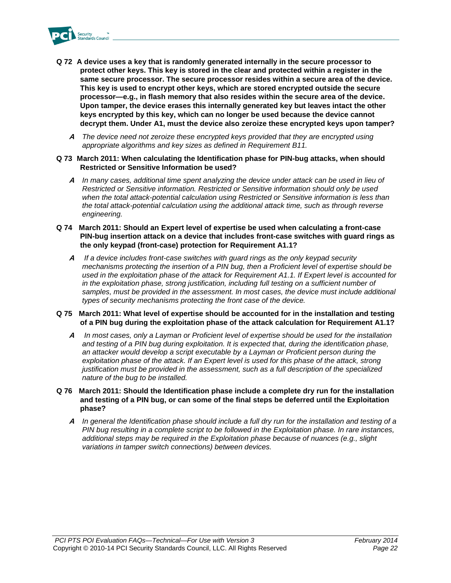

- **Q 72 A device uses a key that is randomly generated internally in the secure processor to protect other keys. This key is stored in the clear and protected within a register in the same secure processor. The secure processor resides within a secure area of the device. This key is used to encrypt other keys, which are stored encrypted outside the secure processor—e.g., in flash memory that also resides within the secure area of the device. Upon tamper, the device erases this internally generated key but leaves intact the other keys encrypted by this key, which can no longer be used because the device cannot decrypt them. Under A1, must the device also zeroize these encrypted keys upon tamper?**
	- **A** *The device need not zeroize these encrypted keys provided that they are encrypted using appropriate algorithms and key sizes as defined in Requirement B11.*
- **Q 73 March 2011: When calculating the Identification phase for PIN-bug attacks, when should Restricted or Sensitive Information be used?**
	- **A** *In many cases, additional time spent analyzing the device under attack can be used in lieu of Restricted or Sensitive information. Restricted or Sensitive information should only be used when the total attack-potential calculation using Restricted or Sensitive information is less than the total attack-potential calculation using the additional attack time, such as through reverse engineering.*
- **Q 74 March 2011: Should an Expert level of expertise be used when calculating a front-case PIN-bug insertion attack on a device that includes front-case switches with guard rings as the only keypad (front-case) protection for Requirement A1.1?**
	- **A** *If a device includes front-case switches with guard rings as the only keypad security mechanisms protecting the insertion of a PIN bug, then a Proficient level of expertise should be used in the exploitation phase of the attack for Requirement A1.1. If Expert level is accounted for in the exploitation phase, strong justification, including full testing on a sufficient number of*  samples, must be provided in the assessment. In most cases, the device must include additional *types of security mechanisms protecting the front case of the device.*

#### **Q 75 March 2011: What level of expertise should be accounted for in the installation and testing of a PIN bug during the exploitation phase of the attack calculation for Requirement A1.1?**

- **A** *In most cases, only a Layman or Proficient level of expertise should be used for the installation and testing of a PIN bug during exploitation. It is expected that, during the identification phase, an attacker would develop a script executable by a Layman or Proficient person during the*  exploitation phase of the attack. If an Expert level is used for this phase of the attack, strong *justification must be provided in the assessment, such as a full description of the specialized nature of the bug to be installed.*
- **Q 76 March 2011: Should the Identification phase include a complete dry run for the installation and testing of a PIN bug, or can some of the final steps be deferred until the Exploitation phase?**
	- **A** *In general the Identification phase should include a full dry run for the installation and testing of a PIN bug resulting in a complete script to be followed in the Exploitation phase. In rare instances, additional steps may be required in the Exploitation phase because of nuances (e.g., slight variations in tamper switch connections) between devices.*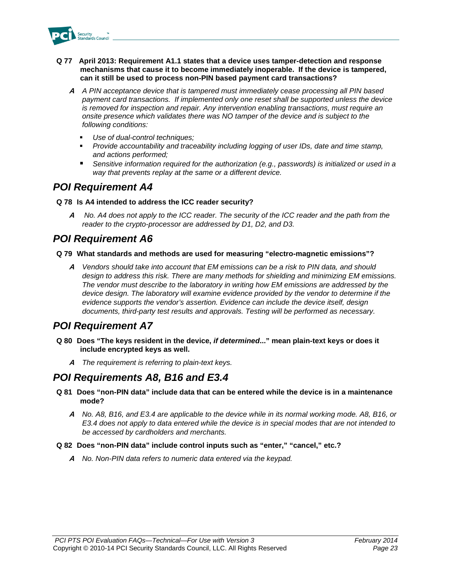

- **Q 77 April 2013: Requirement A1.1 states that a device uses tamper-detection and response mechanisms that cause it to become immediately inoperable. If the device is tampered, can it still be used to process non-PIN based payment card transactions?**
	- **A** *A PIN acceptance device that is tampered must immediately cease processing all PIN based payment card transactions. If implemented only one reset shall be supported unless the device is removed for inspection and repair. Any intervention enabling transactions, must require an onsite presence which validates there was NO tamper of the device and is subject to the following conditions:*
		- *Use of dual-control techniques;*
		- *Provide accountability and traceability including logging of user IDs, date and time stamp, and actions performed;*
		- Sensitive information required for the authorization (e.g., passwords) is initialized or used in a *way that prevents replay at the same or a different device.*

### *POI Requirement A4*

### **Q 78 Is A4 intended to address the ICC reader security?**

**A** *No. A4 does not apply to the ICC reader. The security of the ICC reader and the path from the reader to the crypto-processor are addressed by D1, D2, and D3.* 

### *POI Requirement A6*

### **Q 79 What standards and methods are used for measuring "electro-magnetic emissions"?**

**A** *Vendors should take into account that EM emissions can be a risk to PIN data, and should design to address this risk. There are many methods for shielding and minimizing EM emissions. The vendor must describe to the laboratory in writing how EM emissions are addressed by the device design. The laboratory will examine evidence provided by the vendor to determine if the evidence supports the vendor's assertion. Evidence can include the device itself, design documents, third-party test results and approvals. Testing will be performed as necessary.*

### *POI Requirement A7*

- **Q 80 Does "The keys resident in the device,** *if determined***..." mean plain-text keys or does it include encrypted keys as well.** 
	- **A** *The requirement is referring to plain-text keys.*

### *POI Requirements A8, B16 and E3.4*

- **Q 81 Does "non-PIN data" include data that can be entered while the device is in a maintenance mode?**
	- **A** *No. A8, B16, and E3.4 are applicable to the device while in its normal working mode. A8, B16, or E3.4 does not apply to data entered while the device is in special modes that are not intended to be accessed by cardholders and merchants.*

### **Q 82 Does "non-PIN data" include control inputs such as "enter," "cancel," etc.?**

**A** *No. Non-PIN data refers to numeric data entered via the keypad.*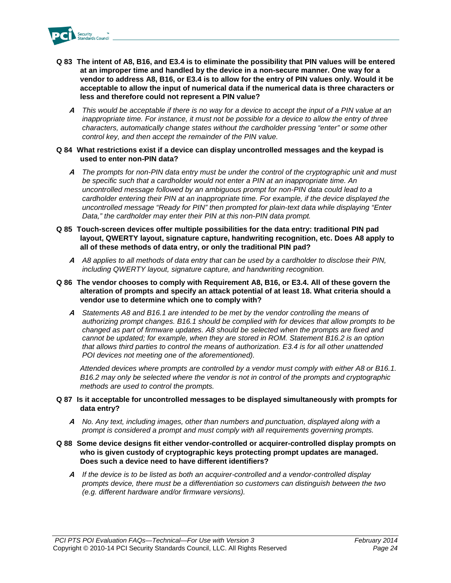

- **Q 83 The intent of A8, B16, and E3.4 is to eliminate the possibility that PIN values will be entered at an improper time and handled by the device in a non-secure manner. One way for a vendor to address A8, B16, or E3.4 is to allow for the entry of PIN values only. Would it be acceptable to allow the input of numerical data if the numerical data is three characters or less and therefore could not represent a PIN value?**
	- **A** *This would be acceptable if there is no way for a device to accept the input of a PIN value at an inappropriate time. For instance, it must not be possible for a device to allow the entry of three characters, automatically change states without the cardholder pressing "enter" or some other control key, and then accept the remainder of the PIN value.*
- **Q 84 What restrictions exist if a device can display uncontrolled messages and the keypad is used to enter non-PIN data?**
	- **A** *The prompts for non-PIN data entry must be under the control of the cryptographic unit and must be specific such that a cardholder would not enter a PIN at an inappropriate time. An uncontrolled message followed by an ambiguous prompt for non-PIN data could lead to a cardholder entering their PIN at an inappropriate time. For example, if the device displayed the uncontrolled message "Ready for PIN" then prompted for plain-text data while displaying "Enter Data," the cardholder may enter their PIN at this non-PIN data prompt.*
- **Q 85 Touch-screen devices offer multiple possibilities for the data entry: traditional PIN pad layout, QWERTY layout, signature capture, handwriting recognition, etc. Does A8 apply to all of these methods of data entry, or only the traditional PIN pad?** 
	- **A** *A8 applies to all methods of data entry that can be used by a cardholder to disclose their PIN, including QWERTY layout, signature capture, and handwriting recognition.*
- **Q 86 The vendor chooses to comply with Requirement A8, B16, or E3.4. All of these govern the alteration of prompts and specify an attack potential of at least 18. What criteria should a vendor use to determine which one to comply with?** 
	- **A** *Statements A8 and B16.1 are intended to be met by the vendor controlling the means of authorizing prompt changes. B16.1 should be complied with for devices that allow prompts to be changed as part of firmware updates. A8 should be selected when the prompts are fixed and cannot be updated; for example, when they are stored in ROM. Statement B16.2 is an option that allows third parties to control the means of authorization. E3.4 is for all other unattended POI devices not meeting one of the aforementioned).*

*Attended devices where prompts are controlled by a vendor must comply with either A8 or B16.1. B16.2 may only be selected where the vendor is not in control of the prompts and cryptographic methods are used to control the prompts.*

- **Q 87 Is it acceptable for uncontrolled messages to be displayed simultaneously with prompts for data entry?** 
	- **A** *No. Any text, including images, other than numbers and punctuation, displayed along with a prompt is considered a prompt and must comply with all requirements governing prompts.*

### **Q 88 Some device designs fit either vendor-controlled or acquirer-controlled display prompts on who is given custody of cryptographic keys protecting prompt updates are managed. Does such a device need to have different identifiers?**

**A** *If the device is to be listed as both an acquirer-controlled and a vendor-controlled display prompts device, there must be a differentiation so customers can distinguish between the two (e.g. different hardware and/or firmware versions).*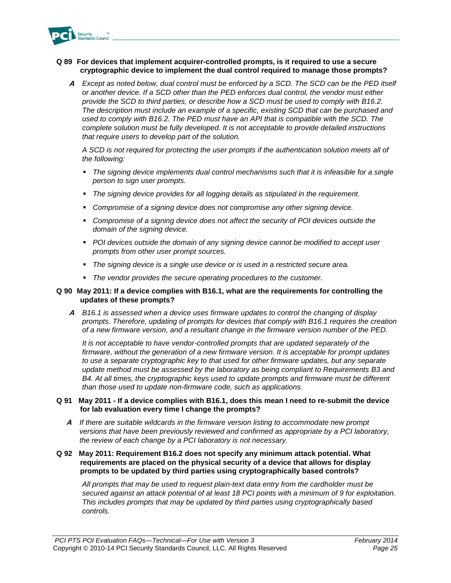

### **Q 89 For devices that implement acquirer-controlled prompts, is it required to use a secure cryptographic device to implement the dual control required to manage those prompts?**

**A** *Except as noted below, dual control must be enforced by a SCD. The SCD can be the PED itself or another device. If a SCD other than the PED enforces dual control, the vendor must either provide the SCD to third parties, or describe how a SCD must be used to comply with B16.2. The description must include an example of a specific, existing SCD that can be purchased and used to comply with B16.2. The PED must have an API that is compatible with the SCD. The complete solution must be fully developed. It is not acceptable to provide detailed instructions that require users to develop part of the solution.*

*A SCD is not required for protecting the user prompts if the authentication solution meets all of the following:*

- *The signing device implements dual control mechanisms such that it is infeasible for a single person to sign user prompts.*
- *The signing device provides for all logging details as stipulated in the requirement.*
- *Compromise of a signing device does not compromise any other signing device.*
- **Compromise of a signing device does not affect the security of POI devices outside the** *domain of the signing device.*
- **POI devices outside the domain of any signing device cannot be modified to accept user** *prompts from other user prompt sources.*
- *The signing device is a single use device or is used in a restricted secure area.*
- *The vendor provides the secure operating procedures to the customer.*

#### **Q 90 May 2011: If a device complies with B16.1, what are the requirements for controlling the updates of these prompts?**

**A** *B16.1 is assessed when a device uses firmware updates to control the changing of display prompts. Therefore, updating of prompts for devices that comply with B16.1 requires the creation of a new firmware version, and a resultant change in the firmware version number of the PED.*

*It is not acceptable to have vendor-controlled prompts that are updated separately of the firmware, without the generation of a new firmware version. It is acceptable for prompt updates to use a separate cryptographic key to that used for other firmware updates, but any separate update method must be assessed by the laboratory as being compliant to Requirements B3 and B4. At all times, the cryptographic keys used to update prompts and firmware must be different than those used to update non-firmware code, such as applications.*

### **Q 91 May 2011 - If a device complies with B16.1, does this mean I need to re-submit the device for lab evaluation every time I change the prompts?**

- **A** *If there are suitable wildcards in the firmware version listing to accommodate new prompt versions that have been previously reviewed and confirmed as appropriate by a PCI laboratory, the review of each change by a PCI laboratory is not necessary.*
- **Q 92 May 2011: Requirement B16.2 does not specify any minimum attack potential. What requirements are placed on the physical security of a device that allows for display prompts to be updated by third parties using cryptographically based controls?**

*All prompts that may be used to request plain-text data entry from the cardholder must be secured against an attack potential of at least 18 PCI points with a minimum of 9 for exploitation. This includes prompts that may be updated by third parties using cryptographically based controls.*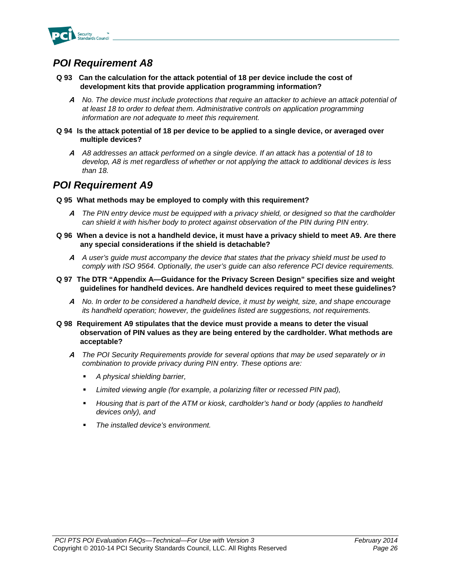

### *POI Requirement A8*

- **Q 93 Can the calculation for the attack potential of 18 per device include the cost of development kits that provide application programming information?** 
	- **A** *No. The device must include protections that require an attacker to achieve an attack potential of at least 18 to order to defeat them. Administrative controls on application programming information are not adequate to meet this requirement.*
- **Q 94 Is the attack potential of 18 per device to be applied to a single device, or averaged over multiple devices?** 
	- **A** *A8 addresses an attack performed on a single device. If an attack has a potential of 18 to develop, A8 is met regardless of whether or not applying the attack to additional devices is less than 18.*

### *POI Requirement A9*

- **Q 95 What methods may be employed to comply with this requirement?**
	- **A** *The PIN entry device must be equipped with a privacy shield, or designed so that the cardholder can shield it with his/her body to protect against observation of the PIN during PIN entry.*
- **Q 96 When a device is not a handheld device, it must have a privacy shield to meet A9. Are there any special considerations if the shield is detachable?** 
	- **A** *A user's guide must accompany the device that states that the privacy shield must be used to comply with ISO 9564. Optionally, the user's guide can also reference PCI device requirements.*
- **Q 97 The DTR "Appendix A—Guidance for the Privacy Screen Design" specifies size and weight guidelines for handheld devices. Are handheld devices required to meet these guidelines?**
	- **A** *No. In order to be considered a handheld device, it must by weight, size, and shape encourage its handheld operation; however, the guidelines listed are suggestions, not requirements.*
- **Q 98 Requirement A9 stipulates that the device must provide a means to deter the visual observation of PIN values as they are being entered by the cardholder. What methods are acceptable?**
	- **A** *The POI Security Requirements provide for several options that may be used separately or in combination to provide privacy during PIN entry. These options are:*
		- *A physical shielding barrier,*
		- Limited viewing angle (for example, a polarizing filter or recessed PIN pad),
		- *Housing that is part of the ATM or kiosk, cardholder's hand or body (applies to handheld devices only), and*
		- *The installed device's environment.*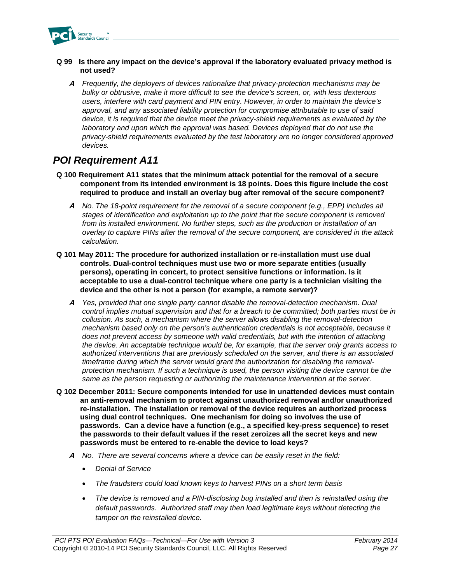

### **Q 99 Is there any impact on the device's approval if the laboratory evaluated privacy method is not used?**

**A** *Frequently, the deployers of devices rationalize that privacy-protection mechanisms may be bulky or obtrusive, make it more difficult to see the device's screen, or, with less dexterous users, interfere with card payment and PIN entry. However, in order to maintain the device's approval, and any associated liability protection for compromise attributable to use of said device, it is required that the device meet the privacy-shield requirements as evaluated by the laboratory and upon which the approval was based. Devices deployed that do not use the privacy-shield requirements evaluated by the test laboratory are no longer considered approved devices.*

### *POI Requirement A11*

- **Q 100 Requirement A11 states that the minimum attack potential for the removal of a secure component from its intended environment is 18 points. Does this figure include the cost required to produce and install an overlay bug after removal of the secure component?**
	- **A** *No. The 18-point requirement for the removal of a secure component (e.g., EPP) includes all stages of identification and exploitation up to the point that the secure component is removed from its installed environment. No further steps, such as the production or installation of an overlay to capture PINs after the removal of the secure component, are considered in the attack calculation.*
- **Q 101 May 2011: The procedure for authorized installation or re-installation must use dual controls. Dual-control techniques must use two or more separate entities (usually persons), operating in concert, to protect sensitive functions or information. Is it acceptable to use a dual-control technique where one party is a technician visiting the device and the other is not a person (for example, a remote server)?**
	- **A** *Yes, provided that one single party cannot disable the removal-detection mechanism. Dual control implies mutual supervision and that for a breach to be committed; both parties must be in collusion. As such, a mechanism where the server allows disabling the removal-detection mechanism based only on the person's authentication credentials is not acceptable, because it does not prevent access by someone with valid credentials, but with the intention of attacking the device. An acceptable technique would be, for example, that the server only grants access to authorized interventions that are previously scheduled on the server, and there is an associated timeframe during which the server would grant the authorization for disabling the removalprotection mechanism. If such a technique is used, the person visiting the device cannot be the same as the person requesting or authorizing the maintenance intervention at the server.*
- **Q 102 December 2011: Secure components intended for use in unattended devices must contain an anti-removal mechanism to protect against unauthorized removal and/or unauthorized re-installation. The installation or removal of the device requires an authorized process using dual control techniques. One mechanism for doing so involves the use of passwords. Can a device have a function (e.g., a specified key-press sequence) to reset the passwords to their default values if the reset zeroizes all the secret keys and new passwords must be entered to re-enable the device to load keys?**
	- **A** *No. There are several concerns where a device can be easily reset in the field:*
		- *Denial of Service*
		- *The fraudsters could load known keys to harvest PINs on a short term basis*
		- *The device is removed and a PIN-disclosing bug installed and then is reinstalled using the default passwords. Authorized staff may then load legitimate keys without detecting the tamper on the reinstalled device.*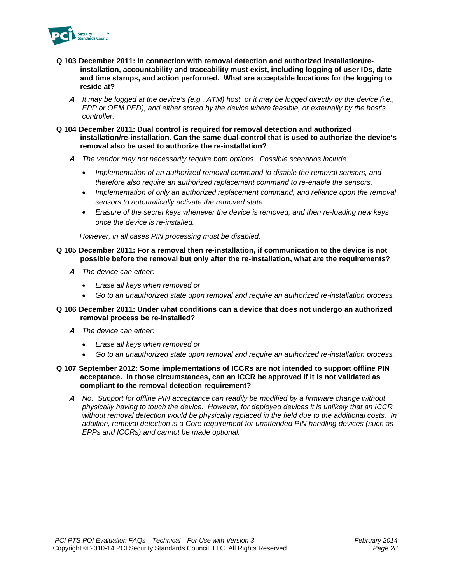

- **Q 103 December 2011: In connection with removal detection and authorized installation/reinstallation, accountability and traceability must exist, including logging of user IDs, date and time stamps, and action performed. What are acceptable locations for the logging to reside at?**
	- **A** *It may be logged at the device's (e.g., ATM) host, or it may be logged directly by the device (i.e., EPP or OEM PED), and either stored by the device where feasible, or externally by the host's controller.*
- **Q 104 December 2011: Dual control is required for removal detection and authorized installation/re-installation. Can the same dual-control that is used to authorize the device's removal also be used to authorize the re-installation?**
	- **A** *The vendor may not necessarily require both options. Possible scenarios include:*
		- *Implementation of an authorized removal command to disable the removal sensors, and therefore also require an authorized replacement command to re-enable the sensors.*
		- *Implementation of only an authorized replacement command, and reliance upon the removal sensors to automatically activate the removed state.*
		- *Erasure of the secret keys whenever the device is removed, and then re-loading new keys once the device is re-installed.*

*However, in all cases PIN processing must be disabled.*

- **Q 105 December 2011: For a removal then re-installation, if communication to the device is not possible before the removal but only after the re-installation, what are the requirements?**
	- **A** *The device can either:*
		- *Erase all keys when removed or*
		- *Go to an unauthorized state upon removal and require an authorized re-installation process.*

#### **Q 106 December 2011: Under what conditions can a device that does not undergo an authorized removal process be re-installed?**

- **A** *The device can either:*
	- *Erase all keys when removed or*
	- *Go to an unauthorized state upon removal and require an authorized re-installation process.*
- **Q 107 September 2012: Some implementations of ICCRs are not intended to support offline PIN acceptance. In those circumstances, can an ICCR be approved if it is not validated as compliant to the removal detection requirement?**
	- **A** *No. Support for offline PIN acceptance can readily be modified by a firmware change without physically having to touch the device. However, for deployed devices it is unlikely that an ICCR without removal detection would be physically replaced in the field due to the additional costs. In addition, removal detection is a Core requirement for unattended PIN handling devices (such as EPPs and ICCRs) and cannot be made optional.*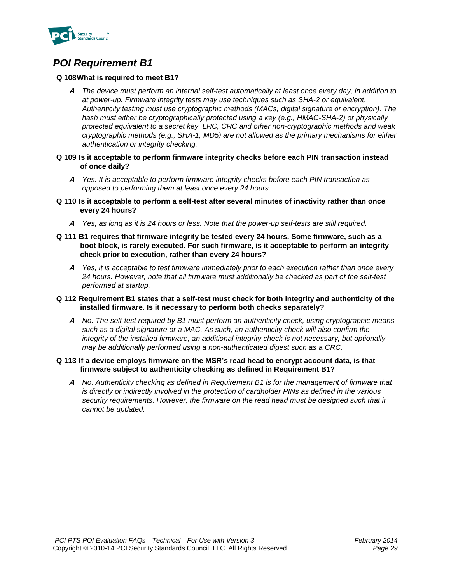

### *POI Requirement B1*

### **Q 108What is required to meet B1?**

- **A** *The device must perform an internal self-test automatically at least once every day, in addition to at power-up. Firmware integrity tests may use techniques such as SHA-2 or equivalent. Authenticity testing must use cryptographic methods (MACs, digital signature or encryption). The*  hash must either be cryptographically protected using a key (e.g., HMAC-SHA-2) or physically *protected equivalent to a secret key. LRC, CRC and other non-cryptographic methods and weak cryptographic methods (e.g., SHA-1, MD5) are not allowed as the primary mechanisms for either authentication or integrity checking.*
- **Q 109 Is it acceptable to perform firmware integrity checks before each PIN transaction instead of once daily?** 
	- **A** *Yes. It is acceptable to perform firmware integrity checks before each PIN transaction as opposed to performing them at least once every 24 hours.*
- **Q 110 Is it acceptable to perform a self-test after several minutes of inactivity rather than once every 24 hours?** 
	- **A** *Yes, as long as it is 24 hours or less. Note that the power-up self-tests are still required.*
- **Q 111 B1 requires that firmware integrity be tested every 24 hours. Some firmware, such as a boot block, is rarely executed. For such firmware, is it acceptable to perform an integrity check prior to execution, rather than every 24 hours?** 
	- **A** *Yes, it is acceptable to test firmware immediately prior to each execution rather than once every 24 hours. However, note that all firmware must additionally be checked as part of the self-test performed at startup.*
- **Q 112 Requirement B1 states that a self-test must check for both integrity and authenticity of the installed firmware. Is it necessary to perform both checks separately?**
	- **A** *No. The self-test required by B1 must perform an authenticity check, using cryptographic means such as a digital signature or a MAC. As such, an authenticity check will also confirm the integrity of the installed firmware, an additional integrity check is not necessary, but optionally may be additionally performed using a non-authenticated digest such as a CRC.*

### **Q 113 If a device employs firmware on the MSR's read head to encrypt account data, is that firmware subject to authenticity checking as defined in Requirement B1?**

**A** *No. Authenticity checking as defined in Requirement B1 is for the management of firmware that is directly or indirectly involved in the protection of cardholder PINs as defined in the various*  security requirements. However, the firmware on the read head must be designed such that it *cannot be updated.*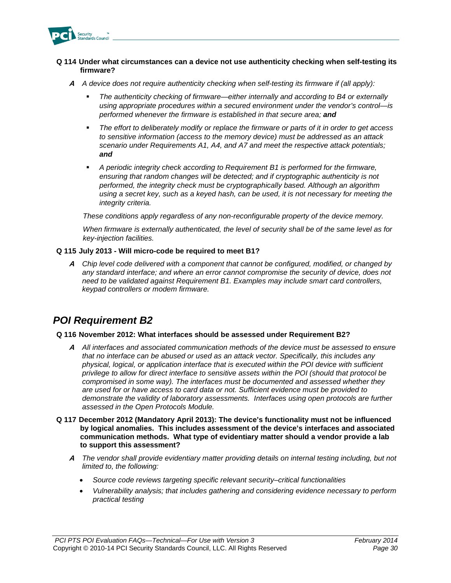

### **Q 114 Under what circumstances can a device not use authenticity checking when self-testing its firmware?**

- **A** *A device does not require authenticity checking when self-testing its firmware if (all apply):*
	- *The authenticity checking of firmware—either internally and according to B4 or externally using appropriate procedures within a secured environment under the vendor's control—is performed whenever the firmware is established in that secure area; and*
	- *The effort to deliberately modify or replace the firmware or parts of it in order to get access to sensitive information (access to the memory device) must be addressed as an attack scenario under Requirements A1, A4, and A7 and meet the respective attack potentials; and*
	- *A periodic integrity check according to Requirement B1 is performed for the firmware, ensuring that random changes will be detected; and if cryptographic authenticity is not performed, the integrity check must be cryptographically based. Although an algorithm using a secret key, such as a keyed hash, can be used, it is not necessary for meeting the integrity criteria.*

*These conditions apply regardless of any non-reconfigurable property of the device memory.*

*When firmware is externally authenticated, the level of security shall be of the same level as for key-injection facilities.*

### **Q 115 July 2013 - Will micro-code be required to meet B1?**

**A** *Chip level code delivered with a component that cannot be configured, modified, or changed by any standard interface; and where an error cannot compromise the security of device, does not need to be validated against Requirement B1. Examples may include smart card controllers, keypad controllers or modem firmware.*

### *POI Requirement B2*

#### **Q 116 November 2012: What interfaces should be assessed under Requirement B2?**

- **A** *All interfaces and associated communication methods of the device must be assessed to ensure that no interface can be abused or used as an attack vector. Specifically, this includes any physical, logical, or application interface that is executed within the POI device with sufficient privilege to allow for direct interface to sensitive assets within the POI (should that protocol be compromised in some way). The interfaces must be documented and assessed whether they are used for or have access to card data or not. Sufficient evidence must be provided to demonstrate the validity of laboratory assessments. Interfaces using open protocols are further assessed in the Open Protocols Module.*
- **Q 117 December 2012 (Mandatory April 2013): The device's functionality must not be influenced by logical anomalies. This includes assessment of the device's interfaces and associated communication methods. What type of evidentiary matter should a vendor provide a lab to support this assessment?**
	- **A** *The vendor shall provide evidentiary matter providing details on internal testing including, but not limited to, the following:*
		- *Source code reviews targeting specific relevant security–critical functionalities*
		- *Vulnerability analysis; that includes gathering and considering evidence necessary to perform practical testing*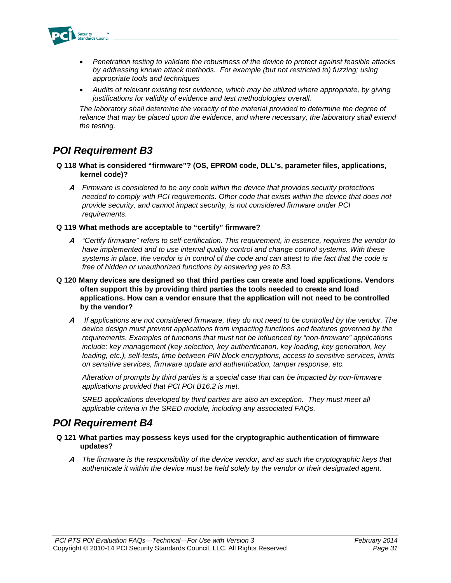

- *Penetration testing to validate the robustness of the device to protect against feasible attacks by addressing known attack methods. For example (but not restricted to) fuzzing; using appropriate tools and techniques*
- *Audits of relevant existing test evidence, which may be utilized where appropriate, by giving justifications for validity of evidence and test methodologies overall.*

*The laboratory shall determine the veracity of the material provided to determine the degree of*  reliance that may be placed upon the evidence, and where necessary, the laboratory shall extend *the testing.* 

### *POI Requirement B3*

- **Q 118 What is considered "firmware"? (OS, EPROM code, DLL's, parameter files, applications, kernel code)?** 
	- **A** *Firmware is considered to be any code within the device that provides security protections needed to comply with PCI requirements. Other code that exists within the device that does not provide security, and cannot impact security, is not considered firmware under PCI requirements.*

### **Q 119 What methods are acceptable to "certify" firmware?**

- **A** *"Certify firmware" refers to self-certification. This requirement, in essence, requires the vendor to have implemented and to use internal quality control and change control systems. With these systems in place, the vendor is in control of the code and can attest to the fact that the code is free of hidden or unauthorized functions by answering yes to B3.*
- **Q 120 Many devices are designed so that third parties can create and load applications. Vendors often support this by providing third parties the tools needed to create and load applications. How can a vendor ensure that the application will not need to be controlled by the vendor?** 
	- **A** *If applications are not considered firmware, they do not need to be controlled by the vendor. The device design must prevent applications from impacting functions and features governed by the requirements. Examples of functions that must not be influenced by "non-firmware" applications include: key management (key selection, key authentication, key loading, key generation, key loading, etc.), self-tests, time between PIN block encryptions, access to sensitive services, limits on sensitive services, firmware update and authentication, tamper response, etc.*

*Alteration of prompts by third parties is a special case that can be impacted by non-firmware applications provided that PCI POI B16.2 is met.* 

*SRED applications developed by third parties are also an exception. They must meet all applicable criteria in the SRED module, including any associated FAQs.*

### *POI Requirement B4*

- **Q 121 What parties may possess keys used for the cryptographic authentication of firmware updates?**
	- **A** *The firmware is the responsibility of the device vendor, and as such the cryptographic keys that authenticate it within the device must be held solely by the vendor or their designated agent.*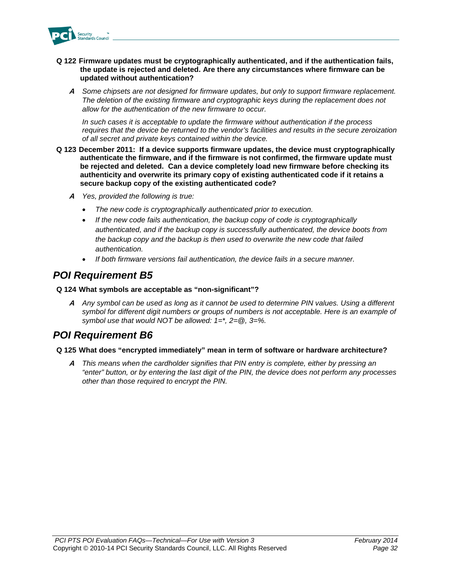

- **Q 122 Firmware updates must be cryptographically authenticated, and if the authentication fails, the update is rejected and deleted. Are there any circumstances where firmware can be updated without authentication?**
	- **A** *Some chipsets are not designed for firmware updates, but only to support firmware replacement. The deletion of the existing firmware and cryptographic keys during the replacement does not allow for the authentication of the new firmware to occur.*

*In such cases it is acceptable to update the firmware without authentication if the process requires that the device be returned to the vendor's facilities and results in the secure zeroization of all secret and private keys contained within the device.*

- **Q 123 December 2011: If a device supports firmware updates, the device must cryptographically authenticate the firmware, and if the firmware is not confirmed, the firmware update must be rejected and deleted. Can a device completely load new firmware before checking its authenticity and overwrite its primary copy of existing authenticated code if it retains a secure backup copy of the existing authenticated code?**
	- **A** *Yes, provided the following is true:*
		- *The new code is cryptographically authenticated prior to execution.*
		- *If the new code fails authentication, the backup copy of code is cryptographically authenticated, and if the backup copy is successfully authenticated, the device boots from the backup copy and the backup is then used to overwrite the new code that failed authentication.*
		- *If both firmware versions fail authentication, the device fails in a secure manner.*

### *POI Requirement B5*

### **Q 124 What symbols are acceptable as "non-significant"?**

**A** *Any symbol can be used as long as it cannot be used to determine PIN values. Using a different*  symbol for different digit numbers or groups of numbers is not acceptable. Here is an example of *symbol use that would NOT be allowed: 1=\*, 2=@, 3=%.*

### *POI Requirement B6*

### **Q 125 What does "encrypted immediately" mean in term of software or hardware architecture?**

**A** *This means when the cardholder signifies that PIN entry is complete, either by pressing an "enter" button, or by entering the last digit of the PIN, the device does not perform any processes other than those required to encrypt the PIN.*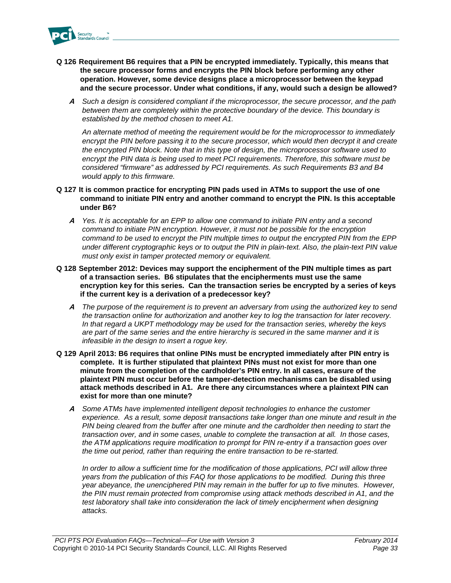

- **Q 126 Requirement B6 requires that a PIN be encrypted immediately. Typically, this means that the secure processor forms and encrypts the PIN block before performing any other operation. However, some device designs place a microprocessor between the keypad and the secure processor. Under what conditions, if any, would such a design be allowed?** 
	- **A** *Such a design is considered compliant if the microprocessor, the secure processor, and the path*  between them are completely within the protective boundary of the device. This boundary is *established by the method chosen to meet A1.*

*An alternate method of meeting the requirement would be for the microprocessor to immediately*  encrypt the PIN before passing it to the secure processor, which would then decrypt it and create *the encrypted PIN block. Note that in this type of design, the microprocessor software used to encrypt the PIN data is being used to meet PCI requirements. Therefore, this software must be considered "firmware" as addressed by PCI requirements. As such Requirements B3 and B4 would apply to this firmware.* 

- **Q 127 It is common practice for encrypting PIN pads used in ATMs to support the use of one command to initiate PIN entry and another command to encrypt the PIN. Is this acceptable under B6?** 
	- **A** *Yes. It is acceptable for an EPP to allow one command to initiate PIN entry and a second command to initiate PIN encryption. However, it must not be possible for the encryption command to be used to encrypt the PIN multiple times to output the encrypted PIN from the EPP under different cryptographic keys or to output the PIN in plain-text. Also, the plain-text PIN value must only exist in tamper protected memory or equivalent.*
- **Q 128 September 2012: Devices may support the encipherment of the PIN multiple times as part of a transaction series. B6 stipulates that the encipherments must use the same encryption key for this series. Can the transaction series be encrypted by a series of keys if the current key is a derivation of a predecessor key?**
	- **A** *The purpose of the requirement is to prevent an adversary from using the authorized key to send the transaction online for authorization and another key to log the transaction for later recovery. In that regard a UKPT methodology may be used for the transaction series, whereby the keys are part of the same series and the entire hierarchy is secured in the same manner and it is infeasible in the design to insert a rogue key.*
- **Q 129 April 2013: B6 requires that online PINs must be encrypted immediately after PIN entry is complete. It is further stipulated that plaintext PINs must not exist for more than one minute from the completion of the cardholder's PIN entry. In all cases, erasure of the plaintext PIN must occur before the tamper-detection mechanisms can be disabled using attack methods described in A1. Are there any circumstances where a plaintext PIN can exist for more than one minute?**
	- **A** *Some ATMs have implemented intelligent deposit technologies to enhance the customer experience. As a result, some deposit transactions take longer than one minute and result in the PIN being cleared from the buffer after one minute and the cardholder then needing to start the transaction over, and in some cases, unable to complete the transaction at all. In those cases, the ATM applications require modification to prompt for PIN re-entry if a transaction goes over the time out period, rather than requiring the entire transaction to be re-started.*

*In order to allow a sufficient time for the modification of those applications, PCI will allow three years from the publication of this FAQ for those applications to be modified. During this three year abeyance, the unenciphered PIN may remain in the buffer for up to five minutes. However, the PIN must remain protected from compromise using attack methods described in A1, and the*  test laboratory shall take into consideration the lack of timely encipherment when designing *attacks.*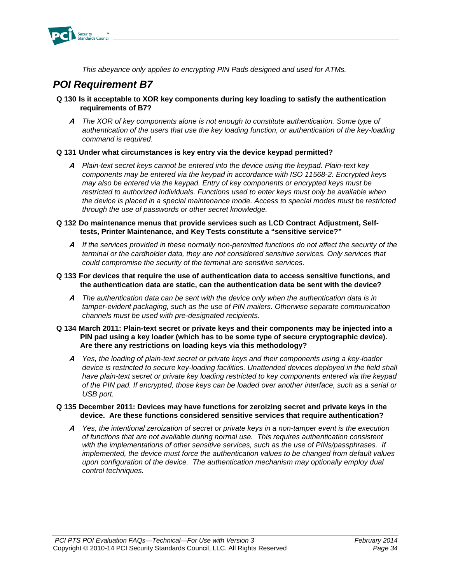

*This abeyance only applies to encrypting PIN Pads designed and used for ATMs.* 

### *POI Requirement B7*

- **Q 130 Is it acceptable to XOR key components during key loading to satisfy the authentication requirements of B7?** 
	- **A** *The XOR of key components alone is not enough to constitute authentication. Some type of authentication of the users that use the key loading function, or authentication of the key-loading command is required.*

### **Q 131 Under what circumstances is key entry via the device keypad permitted?**

**A** *Plain-text secret keys cannot be entered into the device using the keypad. Plain-text key components may be entered via the keypad in accordance with ISO 11568-2. Encrypted keys may also be entered via the keypad. Entry of key components or encrypted keys must be restricted to authorized individuals. Functions used to enter keys must only be available when the device is placed in a special maintenance mode. Access to special modes must be restricted through the use of passwords or other secret knowledge.* 

### **Q 132 Do maintenance menus that provide services such as LCD Contract Adjustment, Selftests, Printer Maintenance, and Key Tests constitute a "sensitive service?"**

**A** *If the services provided in these normally non-permitted functions do not affect the security of the terminal or the cardholder data, they are not considered sensitive services. Only services that could compromise the security of the terminal are sensitive services.*

### **Q 133 For devices that require the use of authentication data to access sensitive functions, and the authentication data are static, can the authentication data be sent with the device?**

**A** *The authentication data can be sent with the device only when the authentication data is in tamper-evident packaging, such as the use of PIN mailers. Otherwise separate communication channels must be used with pre-designated recipients.* 

#### **Q 134 March 2011: Plain-text secret or private keys and their components may be injected into a PIN pad using a key loader (which has to be some type of secure cryptographic device). Are there any restrictions on loading keys via this methodology?**

**A** *Yes, the loading of plain-text secret or private keys and their components using a key-loader*  device is restricted to secure key-loading facilities. Unattended devices deployed in the field shall *have plain-text secret or private key loading restricted to key components entered via the keypad of the PIN pad. If encrypted, those keys can be loaded over another interface, such as a serial or USB port.* 

### **Q 135 December 2011: Devices may have functions for zeroizing secret and private keys in the device. Are these functions considered sensitive services that require authentication?**

**A** *Yes, the intentional zeroization of secret or private keys in a non-tamper event is the execution of functions that are not available during normal use. This requires authentication consistent with the implementations of other sensitive services, such as the use of PINs/passphrases. If implemented, the device must force the authentication values to be changed from default values upon configuration of the device. The authentication mechanism may optionally employ dual control techniques.*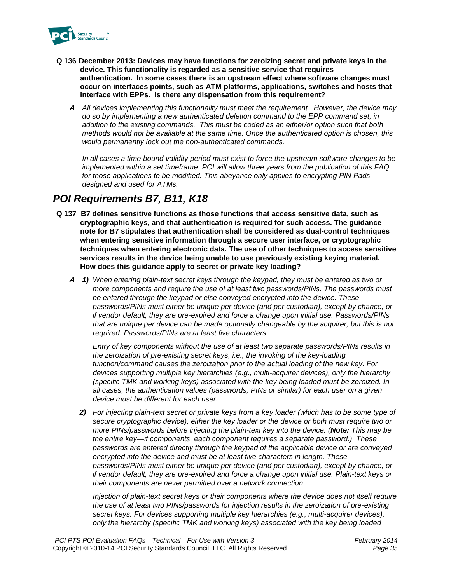

- **Q 136 December 2013: Devices may have functions for zeroizing secret and private keys in the device. This functionality is regarded as a sensitive service that requires authentication. In some cases there is an upstream effect where software changes must occur on interfaces points, such as ATM platforms, applications, switches and hosts that interface with EPPs. Is there any dispensation from this requirement?**
	- **A** *All devices implementing this functionality must meet the requirement. However, the device may do so by implementing a new authenticated deletion command to the EPP command set, in addition to the existing commands. This must be coded as an either/or option such that both methods would not be available at the same time. Once the authenticated option is chosen, this would permanently lock out the non-authenticated commands.*

*In all cases a time bound validity period must exist to force the upstream software changes to be implemented within a set timeframe. PCI will allow three years from the publication of this FAQ for those applications to be modified. This abeyance only applies to encrypting PIN Pads designed and used for ATMs.* 

### *POI Requirements B7, B11, K18*

- **Q 137 B7 defines sensitive functions as those functions that access sensitive data, such as cryptographic keys, and that authentication is required for such access. The guidance note for B7 stipulates that authentication shall be considered as dual-control techniques when entering sensitive information through a secure user interface, or cryptographic techniques when entering electronic data. The use of other techniques to access sensitive services results in the device being unable to use previously existing keying material. How does this guidance apply to secret or private key loading?**
	- **A** *1) When entering plain-text secret keys through the keypad, they must be entered as two or more components and require the use of at least two passwords/PINs. The passwords must be entered through the keypad or else conveyed encrypted into the device. These passwords/PINs must either be unique per device (and per custodian), except by chance, or if vendor default, they are pre-expired and force a change upon initial use. Passwords/PINs that are unique per device can be made optionally changeable by the acquirer, but this is not required. Passwords/PINs are at least five characters.*

*Entry of key components without the use of at least two separate passwords/PINs results in the zeroization of pre-existing secret keys, i.e., the invoking of the key-loading function/command causes the zeroization prior to the actual loading of the new key. For devices supporting multiple key hierarchies (e.g., multi-acquirer devices), only the hierarchy (specific TMK and working keys) associated with the key being loaded must be zeroized. In all cases, the authentication values (passwords, PINs or similar) for each user on a given device must be different for each user.*

*2) For injecting plain-text secret or private keys from a key loader (which has to be some type of secure cryptographic device), either the key loader or the device or both must require two or more PINs/passwords before injecting the plain-text key into the device. (Note: This may be the entire key—if components, each component requires a separate password.) These passwords are entered directly through the keypad of the applicable device or are conveyed encrypted into the device and must be at least five characters in length. These passwords/PINs must either be unique per device (and per custodian), except by chance, or if vendor default, they are pre-expired and force a change upon initial use. Plain-text keys or their components are never permitted over a network connection.*

*Injection of plain-text secret keys or their components where the device does not itself require the use of at least two PINs/passwords for injection results in the zeroization of pre-existing secret keys. For devices supporting multiple key hierarchies (e.g., multi-acquirer devices), only the hierarchy (specific TMK and working keys) associated with the key being loaded*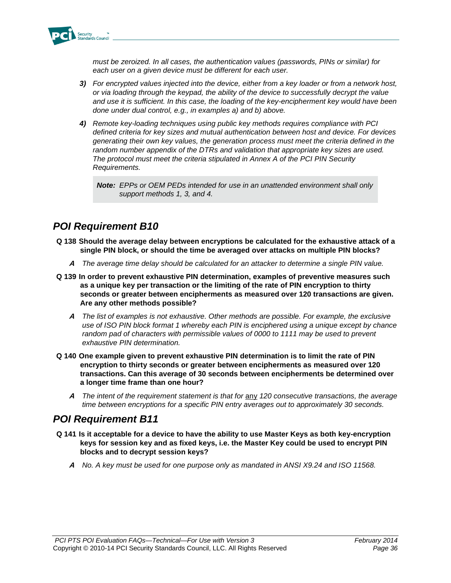

*must be zeroized. In all cases, the authentication values (passwords, PINs or similar) for each user on a given device must be different for each user.*

- *3) For encrypted values injected into the device, either from a key loader or from a network host, or via loading through the keypad, the ability of the device to successfully decrypt the value and use it is sufficient. In this case, the loading of the key-encipherment key would have been done under dual control, e.g., in examples a) and b) above.*
- *4) Remote key-loading techniques using public key methods requires compliance with PCI defined criteria for key sizes and mutual authentication between host and device. For devices generating their own key values, the generation process must meet the criteria defined in the random number appendix of the DTRs and validation that appropriate key sizes are used. The protocol must meet the criteria stipulated in Annex A of the PCI PIN Security Requirements.*

*Note: EPPs or OEM PEDs intended for use in an unattended environment shall only support methods 1, 3, and 4.*

### *POI Requirement B10*

- **Q 138 Should the average delay between encryptions be calculated for the exhaustive attack of a single PIN block, or should the time be averaged over attacks on multiple PIN blocks?** 
	- **A** *The average time delay should be calculated for an attacker to determine a single PIN value.*
- **Q 139 In order to prevent exhaustive PIN determination, examples of preventive measures such as a unique key per transaction or the limiting of the rate of PIN encryption to thirty seconds or greater between encipherments as measured over 120 transactions are given. Are any other methods possible?** 
	- **A** *The list of examples is not exhaustive. Other methods are possible. For example, the exclusive use of ISO PIN block format 1 whereby each PIN is enciphered using a unique except by chance random pad of characters with permissible values of 0000 to 1111 may be used to prevent exhaustive PIN determination.*
- **Q 140 One example given to prevent exhaustive PIN determination is to limit the rate of PIN encryption to thirty seconds or greater between encipherments as measured over 120 transactions. Can this average of 30 seconds between encipherments be determined over a longer time frame than one hour?** 
	- **A** *The intent of the requirement statement is that for* any *120 consecutive transactions, the average time between encryptions for a specific PIN entry averages out to approximately 30 seconds.*

### *POI Requirement B11*

- **Q 141 Is it acceptable for a device to have the ability to use Master Keys as both key-encryption keys for session key and as fixed keys, i.e. the Master Key could be used to encrypt PIN blocks and to decrypt session keys?** 
	- **A** *No. A key must be used for one purpose only as mandated in ANSI X9.24 and ISO 11568.*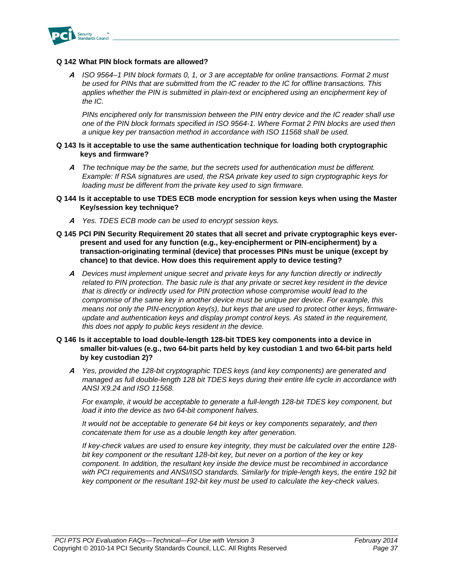

### **Q 142 What PIN block formats are allowed?**

**A** *ISO 9564–1 PIN block formats 0, 1, or 3 are acceptable for online transactions. Format 2 must be used for PINs that are submitted from the IC reader to the IC for offline transactions. This*  applies whether the PIN is submitted in plain-text or enciphered using an encipherment key of *the IC.*

*PINs enciphered only for transmission between the PIN entry device and the IC reader shall use one of the PIN block formats specified in ISO 9564-1. Where Format 2 PIN blocks are used then a unique key per transaction method in accordance with ISO 11568 shall be used.*

#### **Q 143 Is it acceptable to use the same authentication technique for loading both cryptographic keys and firmware?**

**A** *The technique may be the same, but the secrets used for authentication must be different. Example: If RSA signatures are used, the RSA private key used to sign cryptographic keys for loading must be different from the private key used to sign firmware.* 

#### **Q 144 Is it acceptable to use TDES ECB mode encryption for session keys when using the Master Key/session key technique?**

- **A** *Yes. TDES ECB mode can be used to encrypt session keys.*
- **Q 145 PCI PIN Security Requirement 20 states that all secret and private cryptographic keys everpresent and used for any function (e.g., key-encipherment or PIN-encipherment) by a transaction-originating terminal (device) that processes PINs must be unique (except by chance) to that device. How does this requirement apply to device testing?**
	- **A** *Devices must implement unique secret and private keys for any function directly or indirectly related to PIN protection. The basic rule is that any private or secret key resident in the device that is directly or indirectly used for PIN protection whose compromise would lead to the compromise of the same key in another device must be unique per device. For example, this means not only the PIN-encryption key(s), but keys that are used to protect other keys, firmwareupdate and authentication keys and display prompt control keys. As stated in the requirement, this does not apply to public keys resident in the device.*

### **Q 146 Is it acceptable to load double-length 128-bit TDES key components into a device in smaller bit-values (e.g., two 64-bit parts held by key custodian 1 and two 64-bit parts held by key custodian 2)?**

**A** *Yes, provided the 128-bit cryptographic TDES keys (and key components) are generated and managed as full double-length 128 bit TDES keys during their entire life cycle in accordance with ANSI X9.24 and ISO 11568.* 

*For example, it would be acceptable to generate a full-length 128-bit TDES key component, but load it into the device as two 64-bit component halves.*

*It would not be acceptable to generate 64 bit keys or key components separately, and then concatenate them for use as a double length key after generation.*

*If key-check values are used to ensure key integrity, they must be calculated over the entire 128 bit key component or the resultant 128-bit key, but never on a portion of the key or key component. In addition, the resultant key inside the device must be recombined in accordance with PCI requirements and ANSI/ISO standards. Similarly for triple-length keys, the entire 192 bit key component or the resultant 192-bit key must be used to calculate the key-check values.*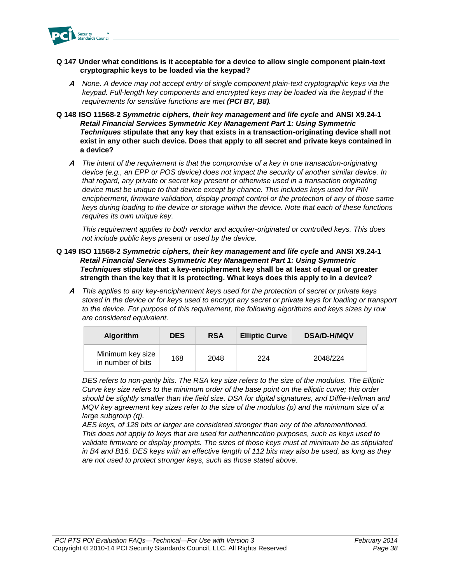

- **Q 147 Under what conditions is it acceptable for a device to allow single component plain-text cryptographic keys to be loaded via the keypad?** 
	- **A** *None. A device may not accept entry of single component plain-text cryptographic keys via the keypad. Full-length key components and encrypted keys may be loaded via the keypad if the requirements for sensitive functions are met (PCI B7, B8).*
- **Q 148 ISO 11568-2** *Symmetric ciphers, their key management and life cycle* **and ANSI X9.24-1**  *Retail Financial Services Symmetric Key Management Part 1: Using Symmetric Techniques* **stipulate that any key that exists in a transaction-originating device shall not exist in any other such device. Does that apply to all secret and private keys contained in a device?**
	- **A** *The intent of the requirement is that the compromise of a key in one transaction-originating device (e.g., an EPP or POS device) does not impact the security of another similar device. In that regard, any private or secret key present or otherwise used in a transaction originating device must be unique to that device except by chance. This includes keys used for PIN encipherment, firmware validation, display prompt control or the protection of any of those same keys during loading to the device or storage within the device. Note that each of these functions requires its own unique key.*

*This requirement applies to both vendor and acquirer-originated or controlled keys. This does not include public keys present or used by the device.*

- **Q 149 ISO 11568-2** *Symmetric ciphers, their key management and life cycle* **and ANSI X9.24-1**  *Retail Financial Services Symmetric Key Management Part 1: Using Symmetric Techniques* **stipulate that a key-encipherment key shall be at least of equal or greater strength than the key that it is protecting. What keys does this apply to in a device?**
	- **A** *This applies to any key-encipherment keys used for the protection of secret or private keys stored in the device or for keys used to encrypt any secret or private keys for loading or transport to the device. For purpose of this requirement, the following algorithms and keys sizes by row are considered equivalent.*

| <b>Algorithm</b>                      | <b>DES</b> | <b>RSA</b> | <b>Elliptic Curve</b> | <b>DSA/D-H/MQV</b> |
|---------------------------------------|------------|------------|-----------------------|--------------------|
| Minimum key size<br>in number of bits | 168        | 2048       | 224                   | 2048/224           |

*DES refers to non-parity bits. The RSA key size refers to the size of the modulus. The Elliptic Curve key size refers to the minimum order of the base point on the elliptic curve; this order should be slightly smaller than the field size. DSA for digital signatures, and Diffie-Hellman and MQV key agreement key sizes refer to the size of the modulus (p) and the minimum size of a large subgroup (q).* 

*AES keys, of 128 bits or larger are considered stronger than any of the aforementioned. This does not apply to keys that are used for authentication purposes, such as keys used to validate firmware or display prompts. The sizes of those keys must at minimum be as stipulated in B4 and B16. DES keys with an effective length of 112 bits may also be used, as long as they are not used to protect stronger keys, such as those stated above.*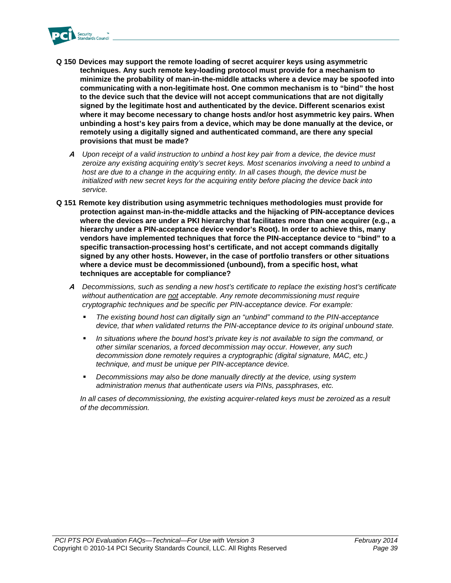

- **Q 150 Devices may support the remote loading of secret acquirer keys using asymmetric techniques. Any such remote key-loading protocol must provide for a mechanism to minimize the probability of man-in-the-middle attacks where a device may be spoofed into communicating with a non-legitimate host. One common mechanism is to "bind" the host to the device such that the device will not accept communications that are not digitally signed by the legitimate host and authenticated by the device. Different scenarios exist where it may become necessary to change hosts and/or host asymmetric key pairs. When unbinding a host's key pairs from a device, which may be done manually at the device, or remotely using a digitally signed and authenticated command, are there any special provisions that must be made?**
	- **A** *Upon receipt of a valid instruction to unbind a host key pair from a device, the device must zeroize any existing acquiring entity's secret keys. Most scenarios involving a need to unbind a host are due to a change in the acquiring entity. In all cases though, the device must be initialized with new secret keys for the acquiring entity before placing the device back into service.*
- **Q 151 Remote key distribution using asymmetric techniques methodologies must provide for protection against man-in-the-middle attacks and the hijacking of PIN-acceptance devices where the devices are under a PKI hierarchy that facilitates more than one acquirer (e.g., a hierarchy under a PIN-acceptance device vendor's Root). In order to achieve this, many vendors have implemented techniques that force the PIN-acceptance device to "bind" to a specific transaction-processing host's certificate, and not accept commands digitally signed by any other hosts. However, in the case of portfolio transfers or other situations where a device must be decommissioned (unbound), from a specific host, what techniques are acceptable for compliance?** 
	- **A** *Decommissions, such as sending a new host's certificate to replace the existing host's certificate without authentication are not acceptable. Any remote decommissioning must require cryptographic techniques and be specific per PIN-acceptance device. For example:*
		- *The existing bound host can digitally sign an "unbind" command to the PIN-acceptance device, that when validated returns the PIN-acceptance device to its original unbound state.*
		- *In situations where the bound host's private key is not available to sign the command, or other similar scenarios, a forced decommission may occur. However, any such decommission done remotely requires a cryptographic (digital signature, MAC, etc.) technique, and must be unique per PIN-acceptance device.*
		- *Decommissions may also be done manually directly at the device, using system administration menus that authenticate users via PINs, passphrases, etc.*

*In all cases of decommissioning, the existing acquirer-related keys must be zeroized as a result of the decommission.*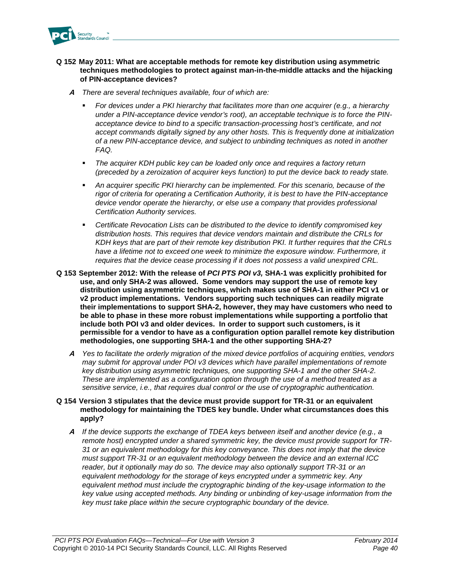

### **Q 152 May 2011: What are acceptable methods for remote key distribution using asymmetric techniques methodologies to protect against man-in-the-middle attacks and the hijacking of PIN-acceptance devices?**

- **A** *There are several techniques available, four of which are:*
	- *For devices under a PKI hierarchy that facilitates more than one acquirer (e.g., a hierarchy under a PIN-acceptance device vendor's root), an acceptable technique is to force the PINacceptance device to bind to a specific transaction-processing host's certificate, and not accept commands digitally signed by any other hosts. This is frequently done at initialization of a new PIN-acceptance device, and subject to unbinding techniques as noted in another FAQ.*
	- *The acquirer KDH public key can be loaded only once and requires a factory return (preceded by a zeroization of acquirer keys function) to put the device back to ready state.*
	- *An acquirer specific PKI hierarchy can be implemented. For this scenario, because of the rigor of criteria for operating a Certification Authority, it is best to have the PIN-acceptance device vendor operate the hierarchy, or else use a company that provides professional Certification Authority services.*
	- *Certificate Revocation Lists can be distributed to the device to identify compromised key distribution hosts. This requires that device vendors maintain and distribute the CRLs for KDH keys that are part of their remote key distribution PKI. It further requires that the CRLs have a lifetime not to exceed one week to minimize the exposure window. Furthermore, it requires that the device cease processing if it does not possess a valid unexpired CRL.*
- **Q 153 September 2012: With the release of** *PCI PTS POI v3,* **SHA-1 was explicitly prohibited for use, and only SHA-2 was allowed. Some vendors may support the use of remote key distribution using asymmetric techniques, which makes use of SHA-1 in either PCI v1 or v2 product implementations. Vendors supporting such techniques can readily migrate their implementations to support SHA-2, however, they may have customers who need to be able to phase in these more robust implementations while supporting a portfolio that include both POI v3 and older devices. In order to support such customers, is it permissible for a vendor to have as a configuration option parallel remote key distribution methodologies, one supporting SHA-1 and the other supporting SHA-2?**
	- **A** *Yes to facilitate the orderly migration of the mixed device portfolios of acquiring entities, vendors may submit for approval under POI v3 devices which have parallel implementations of remote key distribution using asymmetric techniques, one supporting SHA-1 and the other SHA-2. These are implemented as a configuration option through the use of a method treated as a sensitive service, i.e., that requires dual control or the use of cryptographic authentication.*

### **Q 154 Version 3 stipulates that the device must provide support for TR-31 or an equivalent methodology for maintaining the TDES key bundle. Under what circumstances does this apply?**

**A** *If the device supports the exchange of TDEA keys between itself and another device (e.g., a remote host) encrypted under a shared symmetric key, the device must provide support for TR-31 or an equivalent methodology for this key conveyance. This does not imply that the device must support TR-31 or an equivalent methodology between the device and an external ICC reader, but it optionally may do so. The device may also optionally support TR-31 or an equivalent methodology for the storage of keys encrypted under a symmetric key. Any equivalent method must include the cryptographic binding of the key-usage information to the key value using accepted methods. Any binding or unbinding of key-usage information from the key must take place within the secure cryptographic boundary of the device.*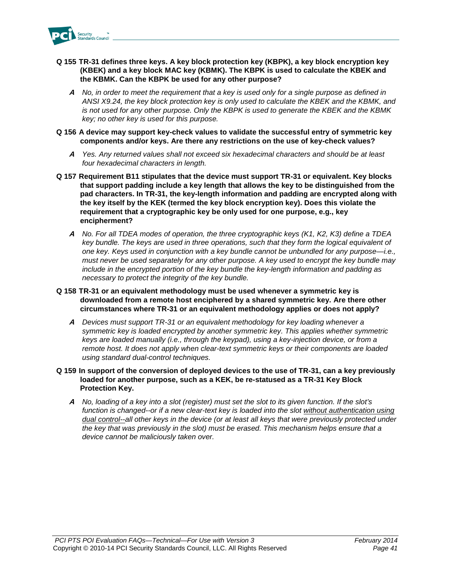

- **Q 155 TR-31 defines three keys. A key block protection key (KBPK), a key block encryption key (KBEK) and a key block MAC key (KBMK). The KBPK is used to calculate the KBEK and the KBMK. Can the KBPK be used for any other purpose?**
	- **A** *No, in order to meet the requirement that a key is used only for a single purpose as defined in ANSI X9.24, the key block protection key is only used to calculate the KBEK and the KBMK, and*  is not used for any other purpose. Only the KBPK is used to generate the KBEK and the KBMK *key; no other key is used for this purpose.*
- **Q 156 A device may support key-check values to validate the successful entry of symmetric key components and/or keys. Are there any restrictions on the use of key-check values?**
	- **A** *Yes. Any returned values shall not exceed six hexadecimal characters and should be at least four hexadecimal characters in length.*
- **Q 157 Requirement B11 stipulates that the device must support TR-31 or equivalent. Key blocks that support padding include a key length that allows the key to be distinguished from the pad characters. In TR-31, the key-length information and padding are encrypted along with the key itself by the KEK (termed the key block encryption key). Does this violate the requirement that a cryptographic key be only used for one purpose, e.g., key encipherment?**
	- **A** *No. For all TDEA modes of operation, the three cryptographic keys (K1, K2, K3) define a TDEA key bundle. The keys are used in three operations, such that they form the logical equivalent of one key. Keys used in conjunction with a key bundle cannot be unbundled for any purpose—i.e., must never be used separately for any other purpose. A key used to encrypt the key bundle may include in the encrypted portion of the key bundle the key-length information and padding as necessary to protect the integrity of the key bundle.*
- **Q 158 TR-31 or an equivalent methodology must be used whenever a symmetric key is downloaded from a remote host enciphered by a shared symmetric key. Are there other circumstances where TR-31 or an equivalent methodology applies or does not apply?** 
	- **A** *Devices must support TR-31 or an equivalent methodology for key loading whenever a symmetric key is loaded encrypted by another symmetric key. This applies whether symmetric keys are loaded manually (i.e., through the keypad), using a key-injection device, or from a remote host. It does not apply when clear-text symmetric keys or their components are loaded using standard dual-control techniques.*
- **Q 159 In support of the conversion of deployed devices to the use of TR-31, can a key previously loaded for another purpose, such as a KEK, be re-statused as a TR-31 Key Block Protection Key.**
	- **A** *No, loading of a key into a slot (register) must set the slot to its given function. If the slot's function is changed--or if a new clear-text key is loaded into the slot without authentication using dual control--all other keys in the device (or at least all keys that were previously protected under the key that was previously in the slot) must be erased. This mechanism helps ensure that a device cannot be maliciously taken over.*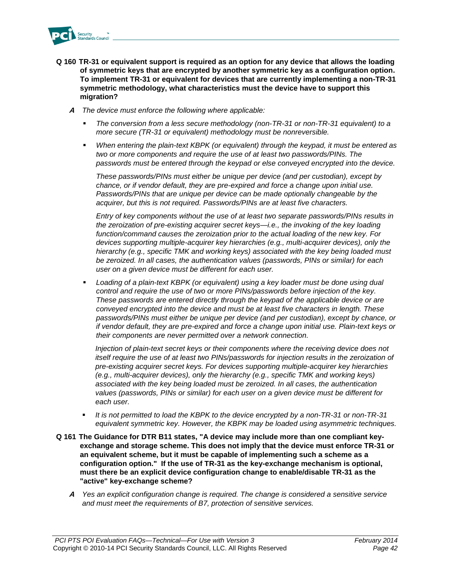

- **Q 160 TR-31 or equivalent support is required as an option for any device that allows the loading of symmetric keys that are encrypted by another symmetric key as a configuration option. To implement TR-31 or equivalent for devices that are currently implementing a non-TR-31 symmetric methodology, what characteristics must the device have to support this migration?**
	- **A** *The device must enforce the following where applicable:*
		- *The conversion from a less secure methodology (non-TR-31 or non-TR-31 equivalent) to a more secure (TR-31 or equivalent) methodology must be nonreversible.*
		- *When entering the plain-text KBPK (or equivalent) through the keypad, it must be entered as two or more components and require the use of at least two passwords/PINs. The passwords must be entered through the keypad or else conveyed encrypted into the device.*

*These passwords/PINs must either be unique per device (and per custodian), except by chance, or if vendor default, they are pre-expired and force a change upon initial use. Passwords/PINs that are unique per device can be made optionally changeable by the acquirer, but this is not required. Passwords/PINs are at least five characters.*

*Entry of key components without the use of at least two separate passwords/PINs results in the zeroization of pre-existing acquirer secret keys—i.e., the invoking of the key loading function/command causes the zeroization prior to the actual loading of the new key. For devices supporting multiple-acquirer key hierarchies (e.g., multi-acquirer devices), only the hierarchy (e.g., specific TMK and working keys) associated with the key being loaded must be zeroized. In all cases, the authentication values (passwords, PINs or similar) for each user on a given device must be different for each user.* 

 *Loading of a plain-text KBPK (or equivalent) using a key loader must be done using dual control and require the use of two or more PINs/passwords before injection of the key. These passwords are entered directly through the keypad of the applicable device or are conveyed encrypted into the device and must be at least five characters in length. These passwords/PINs must either be unique per device (and per custodian), except by chance, or if vendor default, they are pre-expired and force a change upon initial use. Plain-text keys or their components are never permitted over a network connection.*

*Injection of plain-text secret keys or their components where the receiving device does not itself require the use of at least two PINs/passwords for injection results in the zeroization of pre-existing acquirer secret keys. For devices supporting multiple-acquirer key hierarchies (e.g., multi-acquirer devices), only the hierarchy (e.g., specific TMK and working keys) associated with the key being loaded must be zeroized. In all cases, the authentication values (passwords, PINs or similar) for each user on a given device must be different for each user.* 

- *It is not permitted to load the KBPK to the device encrypted by a non-TR-31 or non-TR-31 equivalent symmetric key. However, the KBPK may be loaded using asymmetric techniques.*
- **Q 161 The Guidance for DTR B11 states, "A device may include more than one compliant keyexchange and storage scheme. This does not imply that the device must enforce TR-31 or an equivalent scheme, but it must be capable of implementing such a scheme as a configuration option." If the use of TR-31 as the key-exchange mechanism is optional, must there be an explicit device configuration change to enable/disable TR-31 as the "active" key-exchange scheme?**
	- **A** *Yes an explicit configuration change is required. The change is considered a sensitive service and must meet the requirements of B7, protection of sensitive services.*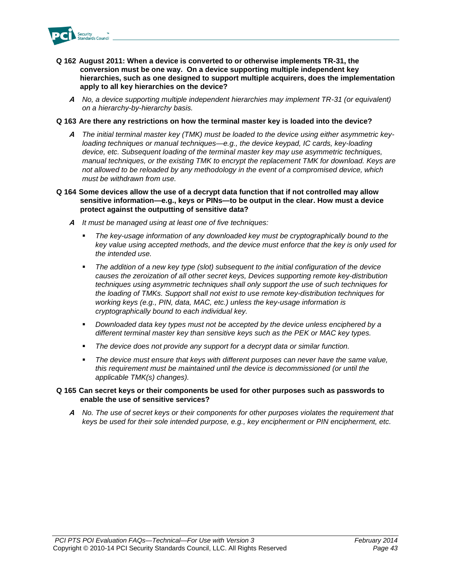

- **Q 162 August 2011: When a device is converted to or otherwise implements TR-31, the conversion must be one way. On a device supporting multiple independent key hierarchies, such as one designed to support multiple acquirers, does the implementation apply to all key hierarchies on the device?**
	- **A** *No, a device supporting multiple independent hierarchies may implement TR-31 (or equivalent) on a hierarchy-by-hierarchy basis.*

### **Q 163 Are there any restrictions on how the terminal master key is loaded into the device?**

- **A** *The initial terminal master key (TMK) must be loaded to the device using either asymmetric keyloading techniques or manual techniques—e.g., the device keypad, IC cards, key-loading device, etc. Subsequent loading of the terminal master key may use asymmetric techniques, manual techniques, or the existing TMK to encrypt the replacement TMK for download. Keys are not allowed to be reloaded by any methodology in the event of a compromised device, which must be withdrawn from use.*
- **Q 164 Some devices allow the use of a decrypt data function that if not controlled may allow sensitive information—e.g., keys or PINs—to be output in the clear. How must a device protect against the outputting of sensitive data?**
	- **A** *It must be managed using at least one of five techniques:*
		- *The key-usage information of any downloaded key must be cryptographically bound to the key value using accepted methods, and the device must enforce that the key is only used for the intended use.*
		- *The addition of a new key type (slot) subsequent to the initial configuration of the device causes the zeroization of all other secret keys, Devices supporting remote key-distribution techniques using asymmetric techniques shall only support the use of such techniques for the loading of TMKs. Support shall not exist to use remote key-distribution techniques for working keys (e.g., PIN, data, MAC, etc.) unless the key-usage information is cryptographically bound to each individual key.*
		- *Downloaded data key types must not be accepted by the device unless enciphered by a different terminal master key than sensitive keys such as the PEK or MAC key types.*
		- *The device does not provide any support for a decrypt data or similar function.*
		- *The device must ensure that keys with different purposes can never have the same value, this requirement must be maintained until the device is decommissioned (or until the applicable TMK(s) changes).*

#### **Q 165 Can secret keys or their components be used for other purposes such as passwords to enable the use of sensitive services?**

**A** *No. The use of secret keys or their components for other purposes violates the requirement that keys be used for their sole intended purpose, e.g., key encipherment or PIN encipherment, etc.*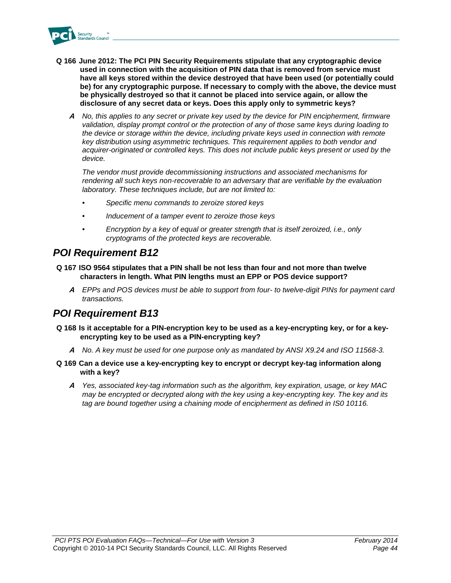

- **Q 166 June 2012: The PCI PIN Security Requirements stipulate that any cryptographic device used in connection with the acquisition of PIN data that is removed from service must have all keys stored within the device destroyed that have been used (or potentially could be) for any cryptographic purpose. If necessary to comply with the above, the device must be physically destroyed so that it cannot be placed into service again, or allow the disclosure of any secret data or keys. Does this apply only to symmetric keys?**
	- **A** *No, this applies to any secret or private key used by the device for PIN encipherment, firmware validation, display prompt control or the protection of any of those same keys during loading to the device or storage within the device, including private keys used in connection with remote key distribution using asymmetric techniques. This requirement applies to both vendor and acquirer-originated or controlled keys. This does not include public keys present or used by the device.*

*The vendor must provide decommissioning instructions and associated mechanisms for rendering all such keys non-recoverable to an adversary that are verifiable by the evaluation laboratory. These techniques include, but are not limited to:*

- *• Specific menu commands to zeroize stored keys*
- *• Inducement of a tamper event to zeroize those keys*
- *• Encryption by a key of equal or greater strength that is itself zeroized, i.e., only cryptograms of the protected keys are recoverable.*

### *POI Requirement B12*

- **Q 167 ISO 9564 stipulates that a PIN shall be not less than four and not more than twelve characters in length. What PIN lengths must an EPP or POS device support?**
	- **A** *EPPs and POS devices must be able to support from four- to twelve-digit PINs for payment card transactions.*

### *POI Requirement B13*

- **Q 168 Is it acceptable for a PIN-encryption key to be used as a key-encrypting key, or for a keyencrypting key to be used as a PIN-encrypting key?** 
	- **A** *No. A key must be used for one purpose only as mandated by ANSI X9.24 and ISO 11568-3.*
- **Q 169 Can a device use a key-encrypting key to encrypt or decrypt key-tag information along with a key?**
	- **A** *Yes, associated key-tag information such as the algorithm, key expiration, usage, or key MAC may be encrypted or decrypted along with the key using a key-encrypting key. The key and its tag are bound together using a chaining mode of encipherment as defined in IS0 10116.*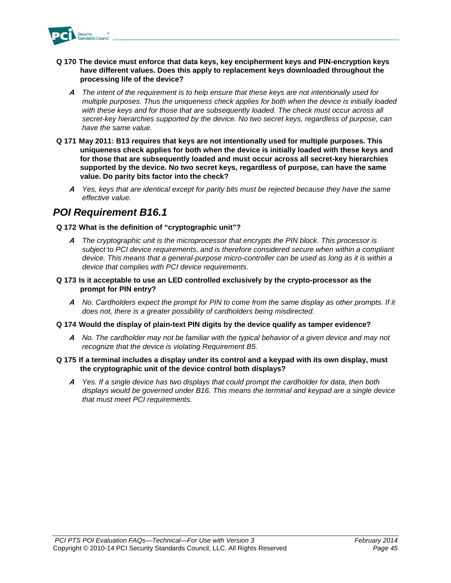

- **Q 170 The device must enforce that data keys, key encipherment keys and PIN-encryption keys have different values. Does this apply to replacement keys downloaded throughout the processing life of the device?**
	- **A** *The intent of the requirement is to help ensure that these keys are not intentionally used for multiple purposes. Thus the uniqueness check applies for both when the device is initially loaded with these keys and for those that are subsequently loaded. The check must occur across all secret-key hierarchies supported by the device. No two secret keys, regardless of purpose, can have the same value.*
- **Q 171 May 2011: B13 requires that keys are not intentionally used for multiple purposes. This uniqueness check applies for both when the device is initially loaded with these keys and for those that are subsequently loaded and must occur across all secret-key hierarchies supported by the device. No two secret keys, regardless of purpose, can have the same value. Do parity bits factor into the check?**
	- **A** *Yes, keys that are identical except for parity bits must be rejected because they have the same effective value.*

### *POI Requirement B16.1*

### **Q 172 What is the definition of "cryptographic unit"?**

- **A** *The cryptographic unit is the microprocessor that encrypts the PIN block. This processor is subject* to *PCI device requirements*, *and is therefore considered secure when within a compliant device. This means that a general-purpose micro-controller can be used as long as it is within a device that complies with PCI device requirements.*
- **Q 173 Is it acceptable to use an LED controlled exclusively by the crypto-processor as the prompt for PIN entry?**
	- **A** *No. Cardholders expect the prompt for PIN to come from the same display as other prompts. If it does not, there is a greater possibility of cardholders being misdirected.*
- **Q 174 Would the display of plain-text PIN digits by the device qualify as tamper evidence?**
	- **A** *No. The cardholder may not be familiar with the typical behavior of a given device and may not recognize that the device is violating Requirement B5.*
- **Q 175 If a terminal includes a display under its control and a keypad with its own display, must the cryptographic unit of the device control both displays?** 
	- **A** *Yes. If a single device has two displays that could prompt the cardholder for data, then both displays would be governed under B16. This means the terminal and keypad are a single device that must meet PCI requirements.*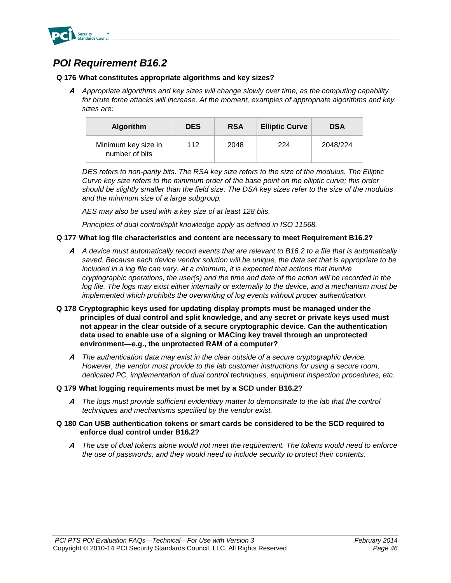

### *POI Requirement B16.2*

### **Q 176 What constitutes appropriate algorithms and key sizes?**

**A** *Appropriate algorithms and key sizes will change slowly over time, as the computing capability for brute force attacks will increase. At the moment, examples of appropriate algorithms and key sizes are:* 

| <b>Algorithm</b>                      | <b>DES</b> | <b>RSA</b> | <b>Elliptic Curve</b> | <b>DSA</b> |
|---------------------------------------|------------|------------|-----------------------|------------|
| Minimum key size in<br>number of bits | 112        | 2048       | 224                   | 2048/224   |

*DES refers to non-parity bits. The RSA key size refers to the size of the modulus. The Elliptic Curve key size refers to the minimum order of the base point on the elliptic curve; this order should be slightly smaller than the field size. The DSA key sizes refer to the size of the modulus and the minimum size of a large subgroup.*

*AES may also be used with a key size of at least 128 bits.*

*Principles of dual control/split knowledge apply as defined in ISO 11568.*

### **Q 177 What log file characteristics and content are necessary to meet Requirement B16.2?**

- **A** *A device must automatically record events that are relevant to B16.2 to a file that is automatically saved. Because each device vendor solution will be unique, the data set that is appropriate to be included in a log file can vary. At a minimum, it is expected that actions that involve cryptographic operations, the user(s) and the time and date of the action will be recorded in the*  log file. The logs may exist either internally or externally to the device, and a mechanism must be *implemented which prohibits the overwriting of log events without proper authentication.*
- **Q 178 Cryptographic keys used for updating display prompts must be managed under the principles of dual control and split knowledge, and any secret or private keys used must not appear in the clear outside of a secure cryptographic device. Can the authentication data used to enable use of a signing or MACing key travel through an unprotected environment—e.g., the unprotected RAM of a computer?**
	- **A** *The authentication data may exist in the clear outside of a secure cryptographic device. However, the vendor must provide to the lab customer instructions for using a secure room, dedicated PC, implementation of dual control techniques, equipment inspection procedures, etc.*
- **Q 179 What logging requirements must be met by a SCD under B16.2?** 
	- **A** *The logs must provide sufficient evidentiary matter to demonstrate to the lab that the control techniques and mechanisms specified by the vendor exist.*
- **Q 180 Can USB authentication tokens or smart cards be considered to be the SCD required to enforce dual control under B16.2?** 
	- **A** *The use of dual tokens alone would not meet the requirement. The tokens would need to enforce the use of passwords, and they would need to include security to protect their contents.*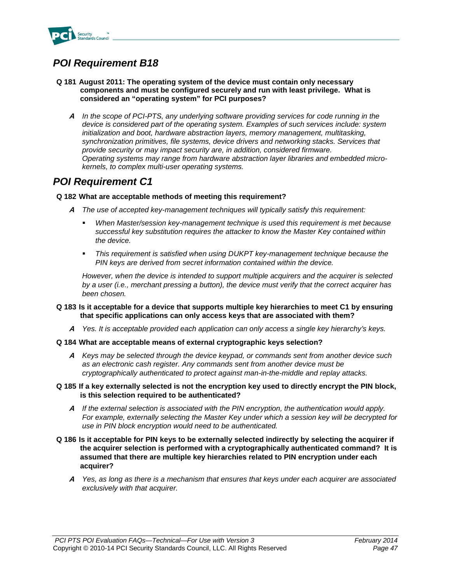

### *POI Requirement B18*

- **Q 181 August 2011: The operating system of the device must contain only necessary components and must be configured securely and run with least privilege. What is considered an "operating system" for PCI purposes?** 
	- **A** *In the scope of PCI-PTS, any underlying software providing services for code running in the device is considered part of the operating system. Examples of such services include: system initialization and boot, hardware abstraction layers, memory management, multitasking, synchronization primitives, file systems, device drivers and networking stacks. Services that provide security or may impact security are, in addition, considered firmware. Operating systems may range from hardware abstraction layer libraries and embedded microkernels, to complex multi-user operating systems.*

### *POI Requirement C1*

### **Q 182 What are acceptable methods of meeting this requirement?**

- **A** *The use of accepted key-management techniques will typically satisfy this requirement:*
	- *When Master/session key-management technique is used this requirement is met because successful key substitution requires the attacker to know the Master Key contained within the device.*
	- *This requirement is satisfied when using DUKPT key-management technique because the PIN keys are derived from secret information contained within the device.*

*However, when the device is intended to support multiple acquirers and the acquirer is selected by a user (i.e., merchant pressing a button), the device must verify that the correct acquirer has been chosen.* 

- **Q 183 Is it acceptable for a device that supports multiple key hierarchies to meet C1 by ensuring that specific applications can only access keys that are associated with them?** 
	- **A** *Yes. It is acceptable provided each application can only access a single key hierarchy's keys.*
- **Q 184 What are acceptable means of external cryptographic keys selection?**
	- **A** *Keys may be selected through the device keypad, or commands sent from another device such as an electronic cash register. Any commands sent from another device must be cryptographically authenticated to protect against man-in-the-middle and replay attacks.*
- **Q 185 If a key externally selected is not the encryption key used to directly encrypt the PIN block, is this selection required to be authenticated?**
	- **A** *If the external selection is associated with the PIN encryption, the authentication would apply. For example, externally selecting the Master Key under which a session key will be decrypted for use in PIN block encryption would need to be authenticated.*
- **Q 186 Is it acceptable for PIN keys to be externally selected indirectly by selecting the acquirer if the acquirer selection is performed with a cryptographically authenticated command? It is assumed that there are multiple key hierarchies related to PIN encryption under each acquirer?** 
	- **A** *Yes, as long as there is a mechanism that ensures that keys under each acquirer are associated exclusively with that acquirer.*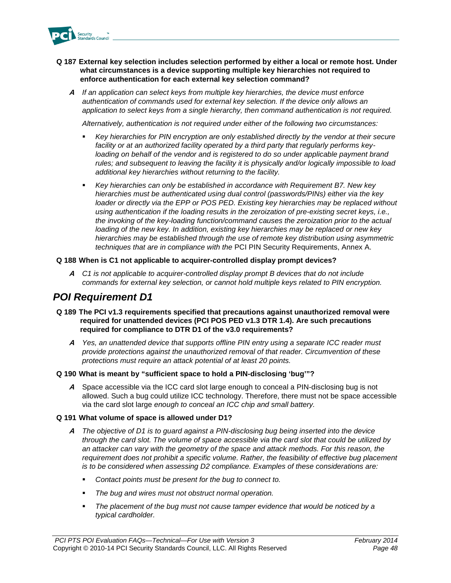

### **Q 187 External key selection includes selection performed by either a local or remote host. Under what circumstances is a device supporting multiple key hierarchies not required to enforce authentication for each external key selection command?**

**A** *If an application can select keys from multiple key hierarchies, the device must enforce authentication of commands used for external key selection. If the device only allows an application to select keys from a single hierarchy, then command authentication is not required.*

*Alternatively, authentication is not required under either of the following two circumstances:*

- *Key hierarchies for PIN encryption are only established directly by the vendor at their secure facility or at an authorized facility operated by a third party that regularly performs key*loading on behalf of the vendor and is registered to do so under applicable payment brand *rules; and subsequent to leaving the facility it is physically and/or logically impossible to load additional key hierarchies without returning to the facility.*
- *Key hierarchies can only be established in accordance with Requirement B7. New key hierarchies must be authenticated using dual control (passwords/PINs) either via the key loader or directly via the EPP or POS PED. Existing key hierarchies may be replaced without*  using authentication if the loading results in the zeroization of pre-existing secret keys, i.e., *the invoking of the key-loading function/command causes the zeroization prior to the actual loading of the new key. In addition, existing key hierarchies may be replaced or new key hierarchies may be established through the use of remote key distribution using asymmetric techniques that are in compliance with the* PCI PIN Security Requirements, Annex A.

### **Q 188 When is C1 not applicable to acquirer-controlled display prompt devices?**

**A** *C1 is not applicable to acquirer-controlled display prompt B devices that do not include commands for external key selection, or cannot hold multiple keys related to PIN encryption.*

### *POI Requirement D1*

- **Q 189 The PCI v1.3 requirements specified that precautions against unauthorized removal were required for unattended devices (PCI POS PED v1.3 DTR 1.4). Are such precautions required for compliance to DTR D1 of the v3.0 requirements?**
	- **A** *Yes, an unattended device that supports offline PIN entry using a separate ICC reader must provide protections against the unauthorized removal of that reader. Circumvention of these protections must require an attack potential of at least 20 points.*

#### **Q 190 What is meant by "sufficient space to hold a PIN-disclosing 'bug'"?**

**A** Space accessible via the ICC card slot large enough to conceal a PIN-disclosing bug is not allowed. Such a bug could utilize ICC technology. Therefore, there must not be space accessible via the card slot large *enough to conceal an ICC chip and small battery.*

#### **Q 191 What volume of space is allowed under D1?**

- **A** *The objective of D1 is to guard against a PIN-disclosing bug being inserted into the device through the card slot. The volume of space accessible via the card slot that could be utilized by an attacker can vary with the geometry of the space and attack methods. For this reason, the requirement does not prohibit a specific volume. Rather, the feasibility of effective bug placement is to be considered when assessing D2 compliance. Examples of these considerations are:* 
	- *Contact points must be present for the bug to connect to.*
	- *The bug and wires must not obstruct normal operation.*
	- *The placement of the bug must not cause tamper evidence that would be noticed by a typical cardholder.*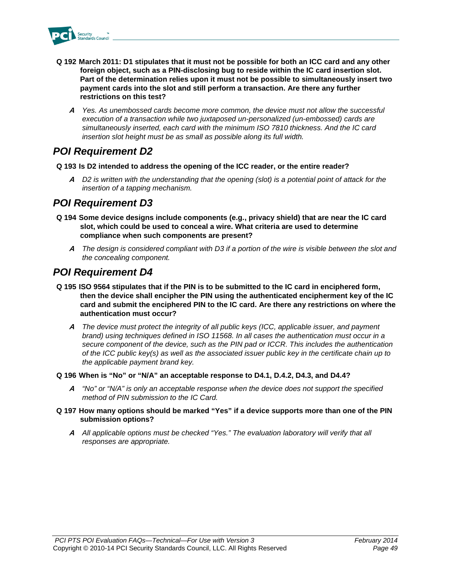

- **Q 192 March 2011: D1 stipulates that it must not be possible for both an ICC card and any other foreign object, such as a PIN-disclosing bug to reside within the IC card insertion slot. Part of the determination relies upon it must not be possible to simultaneously insert two payment cards into the slot and still perform a transaction. Are there any further restrictions on this test?**
	- **A** *Yes. As unembossed cards become more common, the device must not allow the successful execution of a transaction while two juxtaposed un-personalized (un-embossed) cards are simultaneously inserted, each card with the minimum ISO 7810 thickness. And the IC card insertion slot height must be as small as possible along its full width.*

### *POI Requirement D2*

- **Q 193 Is D2 intended to address the opening of the ICC reader, or the entire reader?** 
	- **A** *D2 is written with the understanding that the opening (slot) is a potential point of attack for the insertion of a tapping mechanism.*

### *POI Requirement D3*

- **Q 194 Some device designs include components (e.g., privacy shield) that are near the IC card slot, which could be used to conceal a wire. What criteria are used to determine compliance when such components are present?** 
	- **A** *The design is considered compliant with D3 if a portion of the wire is visible between the slot and the concealing component.*

### *POI Requirement D4*

- **Q 195 ISO 9564 stipulates that if the PIN is to be submitted to the IC card in enciphered form, then the device shall encipher the PIN using the authenticated encipherment key of the IC card and submit the enciphered PIN to the IC card. Are there any restrictions on where the authentication must occur?**
	- **A** *The device must protect the integrity of all public keys (ICC, applicable issuer, and payment brand) using techniques defined in ISO 11568. In all cases the authentication must occur in a secure component of the device, such as the PIN pad or ICCR. This includes the authentication of the ICC public key(s) as well as the associated issuer public key in the certificate chain up to the applicable payment brand key.*
- **Q 196 When is "No" or "N/A" an acceptable response to D4.1, D.4.2, D4.3, and D4.4?**
	- **A** *"No" or "N/A" is only an acceptable response when the device does not support the specified method of PIN submission to the IC Card.*
- **Q 197 How many options should be marked "Yes" if a device supports more than one of the PIN submission options?**
	- **A** *All applicable options must be checked "Yes." The evaluation laboratory will verify that all responses are appropriate.*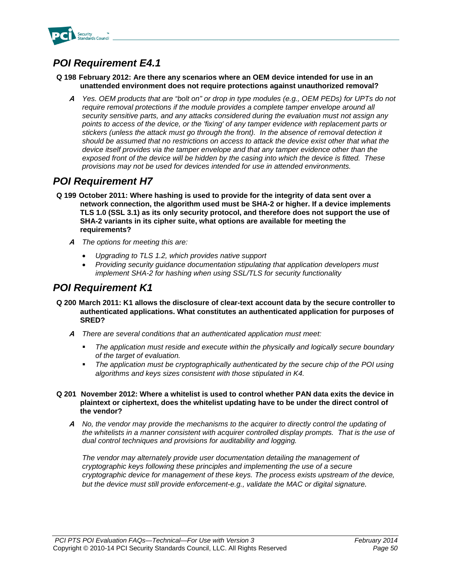

### *POI Requirement E4.1*

### **Q 198 February 2012: Are there any scenarios where an OEM device intended for use in an unattended environment does not require protections against unauthorized removal?**

**A** *Yes. OEM products that are "bolt on" or drop in type modules (e.g., OEM PEDs) for UPTs do not require removal protections if the module provides a complete tamper envelope around all security sensitive parts, and any attacks considered during the evaluation must not assign any points to access of the device, or the 'fixing' of any tamper evidence with replacement parts or stickers (unless the attack must go through the front). In the absence of removal detection it should be assumed that no restrictions on access to attack the device exist other that what the device itself provides via the tamper envelope and that any tamper evidence other than the exposed front of the device will be hidden by the casing into which the device is fitted. These provisions may not be used for devices intended for use in attended environments.*

### *POI Requirement H7*

- **Q 199 October 2011: Where hashing is used to provide for the integrity of data sent over a network connection, the algorithm used must be SHA-2 or higher. If a device implements TLS 1.0 (SSL 3.1) as its only security protocol, and therefore does not support the use of SHA-2 variants in its cipher suite, what options are available for meeting the requirements?** 
	- **A** *The options for meeting this are:* 
		- *Upgrading to TLS 1.2, which provides native support*
		- *Providing security guidance documentation stipulating that application developers must implement SHA-2 for hashing when using SSL/TLS for security functionality*

### *POI Requirement K1*

- **Q 200 March 2011: K1 allows the disclosure of clear-text account data by the secure controller to authenticated applications. What constitutes an authenticated application for purposes of SRED?**
	- **A** *There are several conditions that an authenticated application must meet:*
		- *The application must reside and execute within the physically and logically secure boundary of the target of evaluation.*
		- *The application must be cryptographically authenticated by the secure chip of the POI using algorithms and keys sizes consistent with those stipulated in K4.*
- **Q 201 November 2012: Where a whitelist is used to control whether PAN data exits the device in plaintext or ciphertext, does the whitelist updating have to be under the direct control of the vendor?**
	- **A** *No, the vendor may provide the mechanisms to the acquirer to directly control the updating of the whitelists in a manner consistent with acquirer controlled display prompts. That is the use of dual control techniques and provisions for auditability and logging.*

*The vendor may alternately provide user documentation detailing the management of cryptographic keys following these principles and implementing the use of a secure cryptographic device for management of these keys. The process exists upstream of the device, but the device must still provide enforcement-e.g., validate the MAC or digital signature.*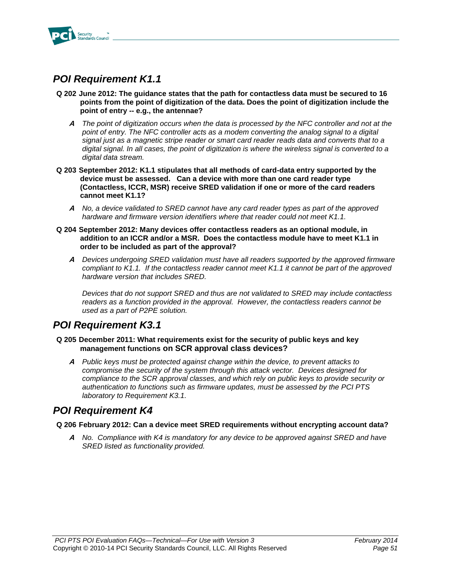

### *POI Requirement K1.1*

- **Q 202 June 2012: The guidance states that the path for contactless data must be secured to 16 points from the point of digitization of the data. Does the point of digitization include the point of entry -- e.g., the antennae?**
	- **A** *The point of digitization occurs when the data is processed by the NFC controller and not at the point of entry. The NFC controller acts as a modem converting the analog signal to a digital signal just as a magnetic stripe reader or smart card reader reads data and converts that to a digital signal. In all cases, the point of digitization is where the wireless signal is converted to a digital data stream.*
- **Q 203 September 2012: K1.1 stipulates that all methods of card-data entry supported by the device must be assessed. Can a device with more than one card reader type (Contactless, ICCR, MSR) receive SRED validation if one or more of the card readers cannot meet K1.1?**
	- **A** *No, a device validated to SRED cannot have any card reader types as part of the approved hardware and firmware version identifiers where that reader could not meet K1.1.*
- **Q 204 September 2012: Many devices offer contactless readers as an optional module, in addition to an ICCR and/or a MSR. Does the contactless module have to meet K1.1 in order to be included as part of the approval?**
	- **A** *Devices undergoing SRED validation must have all readers supported by the approved firmware compliant to K1.1. If the contactless reader cannot meet K1.1 it cannot be part of the approved hardware version that includes SRED.*

*Devices that do not support SRED and thus are not validated to SRED may include contactless readers as a function provided in the approval. However, the contactless readers cannot be used as a part of P2PE solution.* 

### *POI Requirement K3.1*

### **Q 205 December 2011: What requirements exist for the security of public keys and key management functions on SCR approval class devices?**

**A** *Public keys must be protected against change within the device, to prevent attacks to compromise the security of the system through this attack vector. Devices designed for compliance to the SCR approval classes, and which rely on public keys to provide security or authentication to functions such as firmware updates, must be assessed by the PCI PTS laboratory to Requirement K3.1.*

### *POI Requirement K4*

### **Q 206 February 2012: Can a device meet SRED requirements without encrypting account data?**

**A** *No. Compliance with K4 is mandatory for any device to be approved against SRED and have SRED listed as functionality provided.*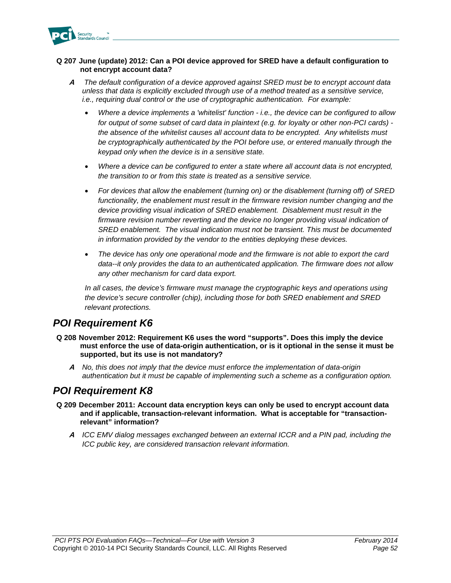

### **Q 207 June (update) 2012: Can a POI device approved for SRED have a default configuration to not encrypt account data?**

- **A** *The default configuration of a device approved against SRED must be to encrypt account data unless that data is explicitly excluded through use of a method treated as a sensitive service, i.e., requiring dual control or the use of cryptographic authentication. For example:*
	- *Where a device implements a 'whitelist' function - i.e., the device can be configured to allow for output of some subset of card data in plaintext (e.g. for loyalty or other non-PCI cards) the absence of the whitelist causes all account data to be encrypted. Any whitelists must be cryptographically authenticated by the POI before use, or entered manually through the keypad only when the device is in a sensitive state.*
	- *Where a device can be configured to enter a state where all account data is not encrypted, the transition to or from this state is treated as a sensitive service.*
	- *For devices that allow the enablement (turning on) or the disablement (turning off) of SRED functionality, the enablement must result in the firmware revision number changing and the device providing visual indication of SRED enablement. Disablement must result in the firmware revision number reverting and the device no longer providing visual indication of SRED enablement. The visual indication must not be transient. This must be documented in information provided by the vendor to the entities deploying these devices.*
	- *The device has only one operational mode and the firmware is not able to export the card data--it only provides the data to an authenticated application. The firmware does not allow any other mechanism for card data export.*

*In all cases, the device's firmware must manage the cryptographic keys and operations using the device's secure controller (chip), including those for both SRED enablement and SRED relevant protections.*

### *POI Requirement K6*

- **Q 208 November 2012: Requirement K6 uses the word "supports". Does this imply the device must enforce the use of data-origin authentication, or is it optional in the sense it must be supported, but its use is not mandatory?**
	- **A** *No, this does not imply that the device must enforce the implementation of data-origin authentication but it must be capable of implementing such a scheme as a configuration option.*

### *POI Requirement K8*

- **Q 209 December 2011: Account data encryption keys can only be used to encrypt account data and if applicable, transaction-relevant information. What is acceptable for "transactionrelevant" information?** 
	- **A** *ICC EMV dialog messages exchanged between an external ICCR and a PIN pad, including the ICC public key, are considered transaction relevant information.*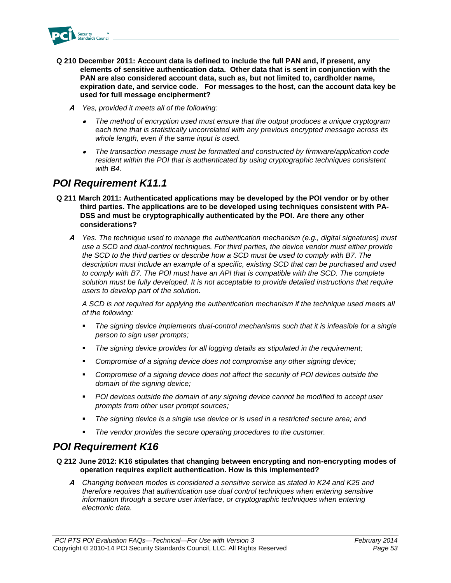

- **Q 210 December 2011: Account data is defined to include the full PAN and, if present, any elements of sensitive authentication data. Other data that is sent in conjunction with the PAN are also considered account data, such as, but not limited to, cardholder name, expiration date, and service code. For messages to the host, can the account data key be used for full message encipherment?**
	- **A** *Yes, provided it meets all of the following:*
		- • *The method of encryption used must ensure that the output produces a unique cryptogram each time that is statistically uncorrelated with any previous encrypted message across its whole length, even if the same input is used.*
		- • *The transaction message must be formatted and constructed by firmware/application code resident within the POI that is authenticated by using cryptographic techniques consistent with B4.*

### *POI Requirement K11.1*

- **Q 211 March 2011: Authenticated applications may be developed by the POI vendor or by other third parties. The applications are to be developed using techniques consistent with PA-DSS and must be cryptographically authenticated by the POI. Are there any other considerations?**
	- **A** *Yes. The technique used to manage the authentication mechanism (e.g., digital signatures) must use a SCD and dual-control techniques. For third parties, the device vendor must either provide the SCD to the third parties or describe how a SCD must be used to comply with B7. The description must include an example of a specific, existing SCD that can be purchased and used to comply with B7. The POI must have an API that is compatible with the SCD. The complete solution must be fully developed. It is not acceptable to provide detailed instructions that require users to develop part of the solution.*

*A SCD is not required for applying the authentication mechanism if the technique used meets all of the following:*

- *The signing device implements dual-control mechanisms such that it is infeasible for a single person to sign user prompts;*
- *The signing device provides for all logging details as stipulated in the requirement;*
- *Compromise of a signing device does not compromise any other signing device;*
- *Compromise of a signing device does not affect the security of POI devices outside the domain of the signing device;*
- *POI devices outside the domain of any signing device cannot be modified to accept user prompts from other user prompt sources;*
- *The signing device is a single use device or is used in a restricted secure area; and*
- *The vendor provides the secure operating procedures to the customer.*

### *POI Requirement K16*

### **Q 212 June 2012: K16 stipulates that changing between encrypting and non-encrypting modes of operation requires explicit authentication. How is this implemented?**

**A** *Changing between modes is considered a sensitive service as stated in K24 and K25 and therefore requires that authentication use dual control techniques when entering sensitive information through a secure user interface, or cryptographic techniques when entering electronic data.*